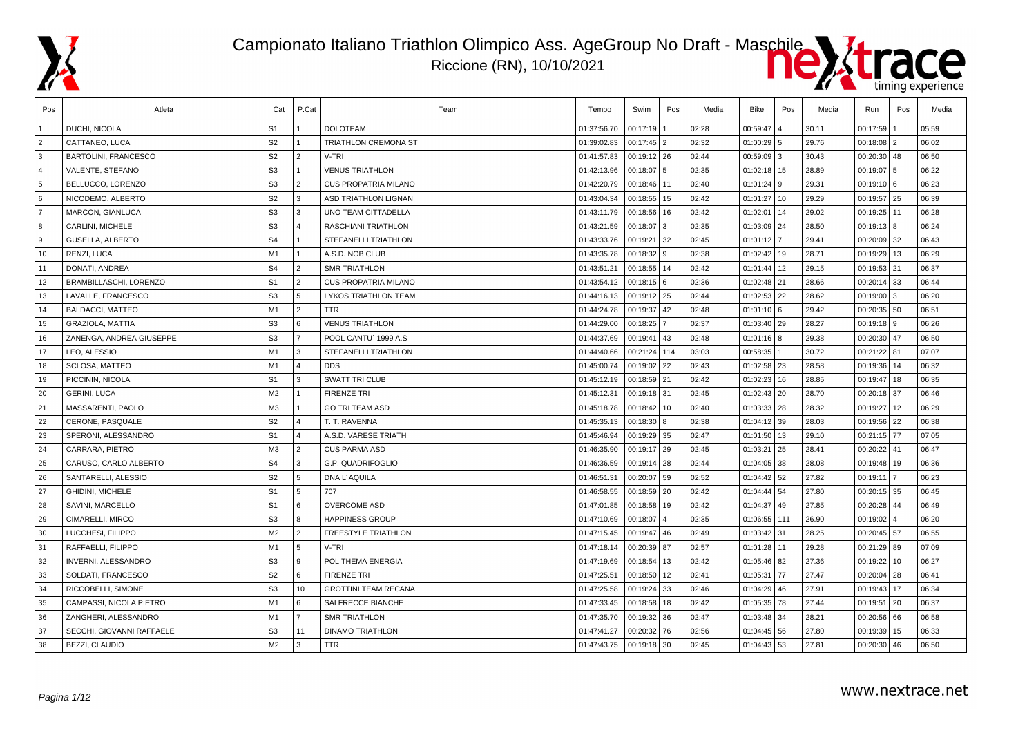





| Pos            | Atleta                        | Cat            | P.Cat                   | Team                        | Tempo       | Swim           | Pos | Media | Bike         | Pos | Media | Run             | Pos | Media |
|----------------|-------------------------------|----------------|-------------------------|-----------------------------|-------------|----------------|-----|-------|--------------|-----|-------|-----------------|-----|-------|
|                | <b>DUCHI, NICOLA</b>          | S <sub>1</sub> |                         | <b>DOLOTEAM</b>             | 01:37:56.70 | 00:17:19       |     | 02:28 | 00:59:47     |     | 30.11 | 00:17:59        |     | 05:59 |
| $\overline{2}$ | CATTANEO, LUCA                | S <sub>2</sub> | $\overline{1}$          | <b>TRIATHLON CREMONA ST</b> | 01:39:02.83 | $00:17:45$   2 |     | 02:32 | 01:00:29 5   |     | 29.76 | $00:18:08$   2  |     | 06:02 |
| 3              | <b>BARTOLINI, FRANCESCO</b>   | S <sub>2</sub> | $\overline{2}$          | V-TRI                       | 01:41:57.83 | 00:19:12 26    |     | 02:44 | 00:59:09     | l 3 | 30.43 | 00:20:30 48     |     | 06:50 |
| $\overline{4}$ | <b>VALENTE, STEFANO</b>       | S <sub>3</sub> |                         | <b>VENUS TRIATHLON</b>      | 01:42:13.96 | $00:18:07$ 5   |     | 02:35 | 01:02:18     | 15  | 28.89 | 00:19:07        | 5   | 06:22 |
| 5              | BELLUCCO, LORENZO             | S <sub>3</sub> | $\overline{2}$          | <b>CUS PROPATRIA MILANO</b> | 01:42:20.79 | 00:18:46 11    |     | 02:40 | 01:01:24     | -9  | 29.31 | $00:19:10$ 6    |     | 06:23 |
| 6              | NICODEMO, ALBERTO             | S <sub>2</sub> | 3                       | <b>ASD TRIATHLON LIGNAN</b> | 01:43:04.34 | 00:18:55   15  |     | 02:42 | 01:01:27     | 10  | 29.29 | $00:19:57$ 25   |     | 06:39 |
| $\overline{7}$ | MARCON, GIANLUCA              | S <sub>3</sub> | 3                       | UNO TEAM CITTADELLA         | 01:43:11.79 | $00:18:56$ 16  |     | 02:42 | 01:02:01     | 14  | 29.02 | $00:19:25$ 11   |     | 06:28 |
| 8              | CARLINI, MICHELE              | S <sub>3</sub> | $\overline{4}$          | RASCHIANI TRIATHLON         | 01:43:21.59 | $00:18:07$ 3   |     | 02:35 | 01:03:09     | 24  | 28.50 | $00:19:13$ 8    |     | 06:24 |
| ∣9             | <b>GUSELLA, ALBERTO</b>       | S <sub>4</sub> |                         | <b>STEFANELLI TRIATHLON</b> | 01:43:33.76 | 00:19:21 32    |     | 02:45 | 01:01:12     |     | 29.41 | $00:20:09$ 32   |     | 06:43 |
| 10             | RENZI, LUCA                   | M1             | $\overline{1}$          | A.S.D. NOB CLUB             | 01:43:35.78 | $00:18:32$ 9   |     | 02:38 | 01:02:42     | 19  | 28.71 | $00:19:29$ 13   |     | 06:29 |
| 11             | DONATI, ANDREA                | S <sub>4</sub> | $\overline{2}$          | <b>SMR TRIATHLON</b>        | 01:43:51.21 | 00:18:55 14    |     | 02:42 | 01:01:44     | 12  | 29.15 | $00:19:53$ 21   |     | 06:37 |
| 12             | <b>BRAMBILLASCHI, LORENZO</b> | S <sub>1</sub> | $\overline{2}$          | <b>CUS PROPATRIA MILANO</b> | 01:43:54.12 | $00:18:15$ 6   |     | 02:36 | 01:02:48     | 21  | 28.66 | $00:20:14$ 33   |     | 06:44 |
| 13             | LAVALLE, FRANCESCO            | S <sub>3</sub> | 5                       | <b>LYKOS TRIATHLON TEAM</b> | 01:44:16.13 | 00:19:12 25    |     | 02:44 | 01:02:53     | 22  | 28.62 | 00:19:00        | (3) | 06:20 |
| 14             | <b>BALDACCI, MATTEO</b>       | M1             | $\overline{2}$          | <b>TTR</b>                  | 01:44:24.78 | 00:19:37 42    |     | 02:48 | 01:01:10     | l 6 | 29.42 | $00:20:35$ 50   |     | 06:51 |
| 15             | <b>GRAZIOLA, MATTIA</b>       | S <sub>3</sub> | 6                       | <b>VENUS TRIATHLON</b>      | 01:44:29.00 | 00:18:25 7     |     | 02:37 | 01:03:40     | 29  | 28.27 | $00:19:18$ 9    |     | 06:26 |
| 16             | ZANENGA, ANDREA GIUSEPPE      | S <sub>3</sub> | $\overline{7}$          | POOL CANTU' 1999 A.S.       | 01:44:37.69 | 00:19:41 43    |     | 02:48 | $01:01:16$ 8 |     | 29.38 | $00:20:30$ 47   |     | 06:50 |
| 17             | LEO, ALESSIO                  | M1             | 3                       | STEFANELLI TRIATHLON        | 01:44:40.66 | 00:21:24 114   |     | 03:03 | 00:58:35     |     | 30.72 | $00:21:22$ 81   |     | 07:07 |
| 18             | <b>SCLOSA, MATTEO</b>         | M1             | $\overline{4}$          | <b>DDS</b>                  | 01:45:00.74 | 00:19:02 22    |     | 02:43 | 01:02:58     | 23  | 28.58 | $00:19:36$ 14   |     | 06:32 |
| 19             | PICCININ, NICOLA              | S <sub>1</sub> | 3                       | SWATT TRI CLUB              | 01:45:12.19 | 00:18:59 21    |     | 02:42 | 01:02:23     | 16  | 28.85 | 00:19:47        | 18  | 06:35 |
| 20             | <b>GERINI, LUCA</b>           | M2             |                         | <b>FIRENZE TRI</b>          | 01:45:12.31 | 00:19:18 31    |     | 02:45 | 01:02:43 20  |     | 28.70 | $00:20:18$ 37   |     | 06:46 |
| 21             | MASSARENTI, PAOLO             | M <sub>3</sub> | $\overline{1}$          | <b>GO TRI TEAM ASD</b>      | 01:45:18.78 | 00:18:42   10  |     | 02:40 | 01:03:33 28  |     | 28.32 | 00:19:27        | 12  | 06:29 |
| 22             | CERONE, PASQUALE              | S <sub>2</sub> | $\overline{4}$          | T. T. RAVENNA               | 01:45:35.13 | $00:18:30$ 8   |     | 02:38 | 01:04:12     | 39  | 28.03 | $00:19:56$   22 |     | 06:38 |
| 23             | SPERONI, ALESSANDRO           | S <sub>1</sub> | $\overline{4}$          | A.S.D. VARESE TRIATH        | 01:45:46.94 | 00:19:29 35    |     | 02:47 | 01:01:50     | 13  | 29.10 | 00:21:15 77     |     | 07:05 |
| 24             | CARRARA, PIETRO               | M3             | $\overline{2}$          | <b>CUS PARMA ASD</b>        | 01:46:35.90 | 00:19:17 29    |     | 02:45 | 01:03:21     | 25  | 28.41 | 00:20:22        | 41  | 06:47 |
| 25             | CARUSO, CARLO ALBERTO         | S <sub>4</sub> | 3                       | G.P. QUADRIFOGLIO           | 01:46:36.59 | 00:19:14 28    |     | 02:44 | 01:04:05     | 38  | 28.08 | $00:19:48$ 19   |     | 06:36 |
| 26             | SANTARELLI, ALESSIO           | S <sub>2</sub> | 5                       | DNA L'AQUILA                | 01:46:51.31 | 00:20:07 59    |     | 02:52 | 01:04:42 52  |     | 27.82 | 00:19:11        |     | 06:23 |
| 27             | <b>GHIDINI, MICHELE</b>       | S <sub>1</sub> | 5                       | 707                         | 01:46:58.55 | 00:18:59 20    |     | 02:42 | 01:04:44     | 54  | 27.80 | $00:20:15$ 35   |     | 06:45 |
| 28             | SAVINI, MARCELLO              | S <sub>1</sub> | 6                       | <b>OVERCOME ASD</b>         | 01:47:01.85 | 00:18:58 19    |     | 02:42 | 01:04:37     | 49  | 27.85 | 00:20:28 44     |     | 06:49 |
| 29             | CIMARELLI, MIRCO              | S <sub>3</sub> | 8                       | <b>HAPPINESS GROUP</b>      | 01:47:10.69 | $00:18:07$ 4   |     | 02:35 | 01:06:55     | 111 | 26.90 | 00:19:02        | 4   | 06:20 |
| 30             | LUCCHESI, FILIPPO             | M <sub>2</sub> | $\overline{2}$          | <b>FREESTYLE TRIATHLON</b>  | 01:47:15.45 | 00:19:47 46    |     | 02:49 | 01:03:42 31  |     | 28.25 | 00:20:45 57     |     | 06:55 |
| 31             | RAFFAELLI, FILIPPO            | M1             | 5                       | V-TRI                       | 01:47:18.14 | 00:20:39 87    |     | 02:57 | 01:01:28     | 11  | 29.28 | $00:21:29$ 89   |     | 07:09 |
| 32             | INVERNI, ALESSANDRO           | S <sub>3</sub> | 9                       | POL THEMA ENERGIA           | 01:47:19.69 | 00:18:54 13    |     | 02:42 | 01:05:46     | 82  | 27.36 | 00:19:22        | 10  | 06:27 |
| 33             | SOLDATI, FRANCESCO            | S <sub>2</sub> | 6                       | <b>FIRENZE TRI</b>          | 01:47:25.51 | 00:18:50 12    |     | 02:41 | 01:05:3'     | 77  | 27.47 | 00:20:04        | 28  | 06:41 |
| 34             | RICCOBELLI, SIMONE            | S <sub>3</sub> | 10                      | <b>GROTTINI TEAM RECANA</b> | 01:47:25.58 | 00:19:24 33    |     | 02:46 | 01:04:29     | 46  | 27.91 | $00:19:43$ 17   |     | 06:34 |
| 35             | CAMPASSI, NICOLA PIETRO       | M1             | l 6                     | SAI FRECCE BIANCHE          | 01:47:33.45 | 00:18:58 18    |     | 02:42 | 01:05:35     | 78  | 27.44 | 00:19:51        | 20  | 06:37 |
| 36             | ZANGHERI, ALESSANDRO          | M1             | $\overline{7}$          | <b>SMR TRIATHLON</b>        | 01:47:35.70 | 00:19:32 36    |     | 02:47 | 01:03:48     | 34  | 28.21 | $00:20:56$ 66   |     | 06:58 |
| 37             | SECCHI, GIOVANNI RAFFAELE     | S <sub>3</sub> | 11                      | <b>DINAMO TRIATHLON</b>     | 01:47:41.27 | 00:20:32 76    |     | 02:56 | 01:04:45     | 56  | 27.80 | 00:19:39        | 15  | 06:33 |
| 38             | BEZZI, CLAUDIO                | M2             | $\overline{\mathbf{3}}$ | <b>TTR</b>                  | 01:47:43.75 | 00:19:18 30    |     | 02:45 | 01:04:43     | 53  | 27.81 | $00:20:30$ 46   |     | 06:50 |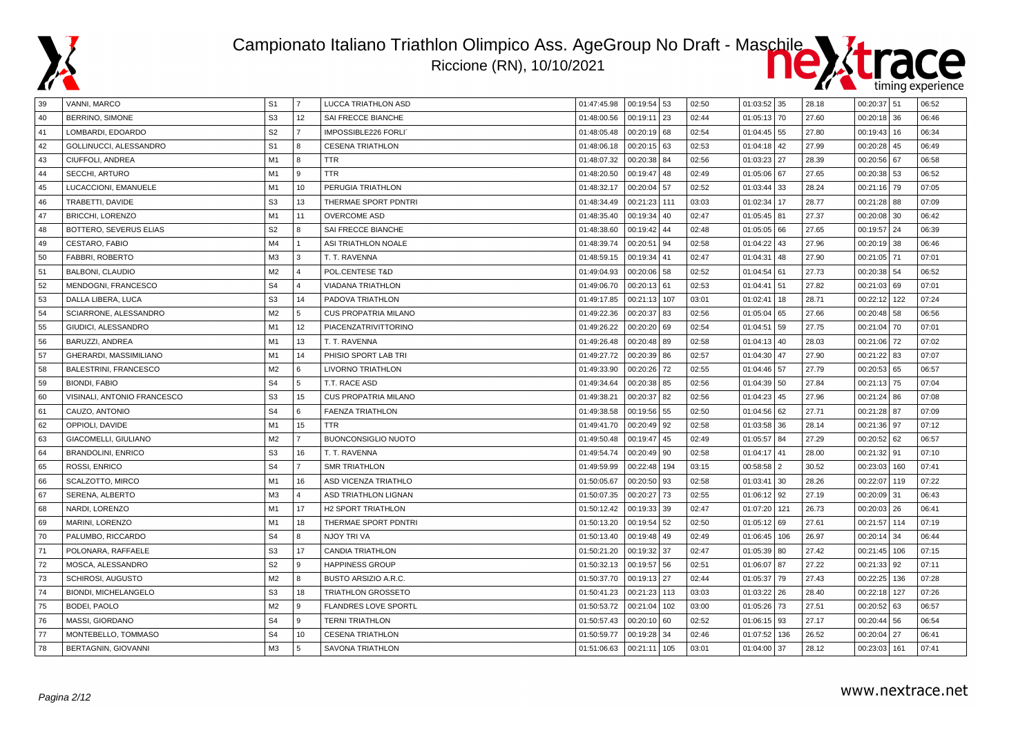



| 39 | VANNI, MARCO                 | S <sub>1</sub> | 7                       | LUCCA TRIATHLON ASD         | 01:47:45.98 | 00:19:54 53  |     | 02:50 | $01:03:52$ 35 |                | 28.18 | $00:20:37$ 51  |     | 06:52 |
|----|------------------------------|----------------|-------------------------|-----------------------------|-------------|--------------|-----|-------|---------------|----------------|-------|----------------|-----|-------|
| 40 | <b>BERRINO, SIMONE</b>       | S <sub>3</sub> | 12                      | SAI FRECCE BIANCHE          | 01:48:00.56 | 00:19:11 23  |     | 02:44 | 01:05:13      | 70             | 27.60 | $00:20:18$ 36  |     | 06:46 |
| 41 | LOMBARDI, EDOARDO            | S <sub>2</sub> | $\overline{7}$          | IMPOSSIBLE226 FORLI'        | 01:48:05.48 | 00:20:19 68  |     | 02:54 | 01:04:45      | 55             | 27.80 | $00:19:43$ 16  |     | 06:34 |
| 42 | GOLLINUCCI, ALESSANDRO       | S <sub>1</sub> | 8                       | <b>CESENA TRIATHLON</b>     | 01:48:06.18 | 00:20:15 63  |     | 02:53 | $01:04:18$ 42 |                | 27.99 | $00:20:28$ 45  |     | 06:49 |
| 43 | CIUFFOLI, ANDREA             | M1             | 8                       | <b>TTR</b>                  | 01:48:07.32 | 00:20:38 84  |     | 02:56 | 01:03:23      | 27             | 28.39 | $00:20:56$ 67  |     | 06:58 |
| 44 | SECCHI, ARTURO               | M1             | 9                       | <b>TTR</b>                  | 01:48:20.50 | 00:19:47 48  |     | 02:49 | 01:05:06      | 67             | 27.65 | $00:20:38$ 53  |     | 06:52 |
| 45 | LUCACCIONI, EMANUELE         | M1             | 10                      | PERUGIA TRIATHLON           | 01:48:32.17 | 00:20:04     | 57  | 02:52 | 01:03:44      | 33             | 28.24 | $00:21:16$ 79  |     | 07:05 |
| 46 | TRABETTI, DAVIDE             | S <sub>3</sub> | 13                      | THERMAE SPORT PDNTRI        | 01:48:34.49 | 00:21:23 111 |     | 03:03 | 01:02:34      | 17             | 28.77 | $00:21:28$ 88  |     | 07:09 |
| 47 | <b>BRICCHI, LORENZO</b>      | M1             | 11                      | <b>OVERCOME ASD</b>         | 01:48:35.40 | 00:19:34     | 40  | 02:47 | 01:05:45 81   |                | 27.37 | $00:20:08$ 30  |     | 06:42 |
| 48 | BOTTERO, SEVERUS ELIAS       | S <sub>2</sub> | R                       | SAI FRECCE BIANCHE          | 01:48:38.60 | 00:19:42 44  |     | 02:48 | 01:05:05 66   |                | 27.65 | 00:19:57 24    |     | 06:39 |
| 49 | CESTARO, FABIO               | M4             |                         | ASI TRIATHLON NOALE         | 01:48:39.74 | 00:20:51     | 94  | 02:58 | 01:04:22      | 43             | 27.96 | $00:20:19$ 38  |     | 06:46 |
| 50 | <b>FABBRI, ROBERTO</b>       | M <sub>3</sub> | 3                       | T. T. RAVENNA               | 01:48:59.15 | 00:19:34 41  |     | 02:47 | 01:04:31      | 48             | 27.90 | $00:21:05$ 71  |     | 07:01 |
| 51 | BALBONI, CLAUDIO             | M <sub>2</sub> | $\overline{\mathbf{A}}$ | POL.CENTESE T&D             | 01:49:04.93 | 00:20:06 58  |     | 02:52 | 01:04:54      | 61             | 27.73 | $00:20:38$ 54  |     | 06:52 |
| 52 | MENDOGNI, FRANCESCO          | S <sub>4</sub> | $\Delta$                | <b>VIADANA TRIATHLON</b>    | 01:49:06.70 | 00:20:13 61  |     | 02:53 | 01:04:41      | 51             | 27.82 | $00:21:03$ 69  |     | 07:01 |
| 53 | DALLA LIBERA, LUCA           | S <sub>3</sub> | 14                      | PADOVA TRIATHLON            | 01:49:17.85 | 00:21:13 107 |     | 03:01 | 01:02:41      | 18             | 28.71 | 00:22:12 122   |     | 07:24 |
| 54 | SCIARRONE, ALESSANDRO        | M <sub>2</sub> | 5                       | <b>CUS PROPATRIA MILANO</b> | 01:49:22.36 | 00:20:37 83  |     | 02:56 | 01:05:04      | 65             | 27.66 | $00:20:48$ 58  |     | 06:56 |
| 55 | GIUDICI, ALESSANDRO          | M1             | 12                      | PIACENZATRIVITTORINO        | 01:49:26.22 | 00:20:20 69  |     | 02:54 | 01:04:51      | 59             | 27.75 | $00:21:04$ 70  |     | 07:01 |
| 56 | BARUZZI, ANDREA              | M1             | 13                      | T. T. RAVENNA               | 01:49:26.48 | 00:20:48 89  |     | 02:58 | 01:04:13      | 40             | 28.03 | $00:21:06$ 72  |     | 07:02 |
| 57 | GHERARDI, MASSIMILIANO       | M1             | 14                      | PHISIO SPORT LAB TRI        | 01:49:27.72 | 00:20:39 86  |     | 02:57 | 01:04:30      | 47             | 27.90 | $00:21:22$ 83  |     | 07:07 |
| 58 | <b>BALESTRINI, FRANCESCO</b> | M <sub>2</sub> | 6                       | LIVORNO TRIATHLON           | 01:49:33.90 | 00:20:26     | 72  | 02:55 | 01:04:46 57   |                | 27.79 | $00:20:53$ 65  |     | 06:57 |
| 59 | <b>BIONDI, FABIO</b>         | S <sub>4</sub> | 5                       | T.T. RACE ASD               | 01:49:34.64 | 00:20:38 85  |     | 02:56 | 01:04:39 50   |                | 27.84 | $00:21:13$ 75  |     | 07:04 |
| 60 | VISINALI, ANTONIO FRANCESCO  | S <sub>3</sub> | 15                      | <b>CUS PROPATRIA MILANO</b> | 01:49:38.21 | 00:20:37 82  |     | 02:56 | 01:04:23      | 45             | 27.96 | $00:21:24$ 86  |     | 07:08 |
| 61 | CAUZO, ANTONIO               | S <sub>4</sub> | 6                       | <b>FAENZA TRIATHLON</b>     | 01:49:38.58 | 00:19:56 55  |     | 02:50 | 01:04:56      | 62             | 27.71 | 00:21:28 87    |     | 07:09 |
| 62 | OPPIOLI, DAVIDE              | M1             | 15                      | <b>TTR</b>                  | 01:49:41.70 | 00:20:49 92  |     | 02:58 | 01:03:58 36   |                | 28.14 | $00:21:36$ 97  |     | 07:12 |
| 63 | <b>GIACOMELLI, GIULIANO</b>  | M <sub>2</sub> | $\overline{7}$          | <b>BUONCONSIGLIO NUOTO</b>  | 01:49:50.48 | 00:19:47     | 45  | 02:49 | 01:05:57      | 84             | 27.29 | $00:20:52$ 62  |     | 06:57 |
| 64 | <b>BRANDOLINI, ENRICO</b>    | S <sub>3</sub> | 16                      | T. T. RAVENNA               | 01:49:54.74 | 00:20:49 90  |     | 02:58 | 01:04:17      | 41             | 28.00 | 00:21:32       | 91  | 07:10 |
| 65 | ROSSI, ENRICO                | S <sub>4</sub> | $\overline{7}$          | <b>SMR TRIATHLON</b>        | 01:49:59.99 | 00:22:48     | 194 | 03:15 | 00:58:58      | $\overline{2}$ | 30.52 | 00:23:03       | 160 | 07:41 |
| 66 | SCALZOTTO, MIRCO             | M1             | 16                      | <b>ASD VICENZA TRIATHLO</b> | 01:50:05.67 | 00:20:50     | 93  | 02:58 | 01:03:41      | 30             | 28.26 | 00:22:07       | 119 | 07:22 |
| 67 | SERENA, ALBERTO              | M <sub>3</sub> | $\Delta$                | ASD TRIATHLON LIGNAN        | 01:50:07.35 | 00:20:27 73  |     | 02:55 | 01:06:12 92   |                | 27.19 | $00:20:09$ 31  |     | 06:43 |
| 68 | NARDI, LORENZO               | M1             | 17                      | H2 SPORT TRIATHLON          | 01:50:12.42 | 00:19:33 39  |     | 02:47 | 01:07:20 121  |                | 26.73 | $00:20:03$ 26  |     | 06:41 |
| 69 | MARINI, LORENZO              | M1             | 18                      | THERMAE SPORT PDNTRI        | 01:50:13.20 | 00:19:54 52  |     | 02:50 | 01:05:12      | 69             | 27.61 | 00:21:57 114   |     | 07:19 |
| 70 | PALUMBO, RICCARDO            | S <sub>4</sub> | 8                       | NJOY TRI VA                 | 01:50:13.40 | 00:19:48 49  |     | 02:49 | 01:06:45 106  |                | 26.97 | $00:20:14$ 34  |     | 06:44 |
| 71 | POLONARA, RAFFAELE           | S <sub>3</sub> | 17                      | <b>CANDIA TRIATHLON</b>     | 01:50:21.20 | 00:19:32 37  |     | 02:47 | 01:05:39 80   |                | 27.42 | $00:21:45$ 106 |     | 07:15 |
| 72 | MOSCA, ALESSANDRO            | S <sub>2</sub> | 9                       | <b>HAPPINESS GROUP</b>      | 01:50:32.13 | 00:19:57 56  |     | 02:51 | 01:06:07      | 87             | 27.22 | $00:21:33$ 92  |     | 07:11 |
| 73 | <b>SCHIROSI, AUGUSTO</b>     | M <sub>2</sub> | R                       | <b>BUSTO ARSIZIO A.R.C.</b> | 01:50:37.70 | 00:19:13 27  |     | 02:44 | 01:05:37      | 79             | 27.43 | 00:22:25       | 136 | 07:28 |
| 74 | <b>BIONDI, MICHELANGELO</b>  | S <sub>3</sub> | 18                      | TRIATHLON GROSSETO          | 01:50:41.23 | 00:21:23     | 113 | 03:03 | 01:03:22      | 26             | 28.40 | 00:22:18 127   |     | 07:26 |
| 75 | <b>BODEI, PAOLO</b>          | M <sub>2</sub> | $\mathbf{Q}$            | <b>FLANDRES LOVE SPORTL</b> | 01:50:53.72 | 00:21:04     | 102 | 03:00 | 01:05:26      | 73             | 27.51 | $00:20:52$ 63  |     | 06:57 |
| 76 | MASSI, GIORDANO              | S <sub>4</sub> | $\mathbf{Q}$            | <b>TERNI TRIATHLON</b>      | 01:50:57.43 | 00:20:10 60  |     | 02:52 | 01:06:15 93   |                | 27.17 | $00:20:44$ 56  |     | 06:54 |
| 77 | MONTEBELLO, TOMMASO          | S <sub>4</sub> | 10                      | <b>CESENA TRIATHLON</b>     | 01:50:59.77 | 00:19:28     | 34  | 02:46 | 01:07:52      | 136            | 26.52 | 00:20:04       | 27  | 06:41 |
| 78 | <b>BERTAGNIN, GIOVANNI</b>   | M <sub>3</sub> | 5                       | <b>SAVONA TRIATHLON</b>     | 01:51:06.63 | 00:21:11 105 |     | 03:01 | 01:04:00 37   |                | 28.12 | $00:23:03$ 161 |     | 07:41 |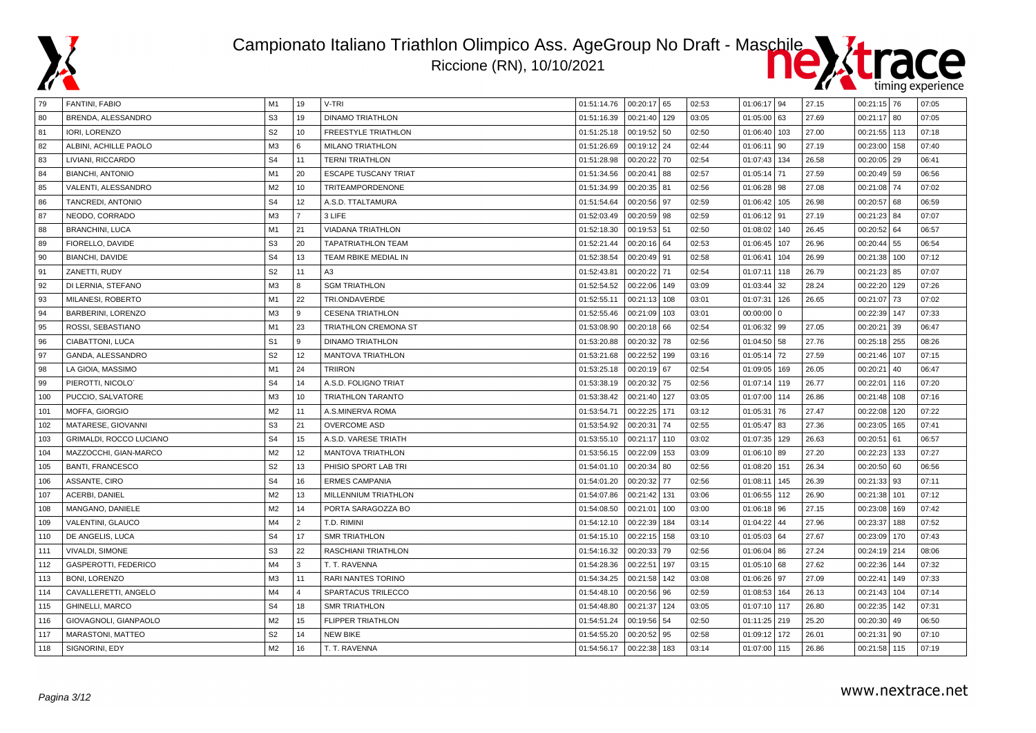



| 79  | <b>FANTINI, FABIO</b>          | M1             | 19                      | V-TRI                       | 01:51:14.76 | 00:20:17 65   |     | 02:53 | 01:06:17 94  |     | 27.15 | $00:21:15$ 76  |     | 07:05 |
|-----|--------------------------------|----------------|-------------------------|-----------------------------|-------------|---------------|-----|-------|--------------|-----|-------|----------------|-----|-------|
| 80  | BRENDA, ALESSANDRO             | S <sub>3</sub> | 19                      | <b>DINAMO TRIATHLON</b>     | 01:51:16.39 | 00:21:40 129  |     | 03:05 | 01:05:00     | 63  | 27.69 | $00:21:17$ 80  |     | 07:05 |
| 81  | IORI, LORENZO                  | S <sub>2</sub> | 10                      | <b>FREESTYLE TRIATHLON</b>  | 01:51:25.18 | 00:19:52 50   |     | 02:50 | 01:06:40     | 103 | 27.00 | 00:21:55 113   |     | 07:18 |
| 82  | ALBINI, ACHILLE PAOLO          | M3             | 6                       | <b>MILANO TRIATHLON</b>     | 01:51:26.69 | 00:19:12 24   |     | 02:44 | 01:06:11     | 90  | 27.19 | 00:23:00       | 158 | 07:40 |
| 83  | LIVIANI, RICCARDO              | S <sub>4</sub> | 11                      | <b>TERNI TRIATHLON</b>      | 01:51:28.98 | 00:20:22 70   |     | 02:54 | 01:07:43     | 134 | 26.58 | $00:20:05$ 29  |     | 06:41 |
| 84  | <b>BIANCHI, ANTONIO</b>        | M1             | 20                      | <b>ESCAPE TUSCANY TRIAT</b> | 01:51:34.56 | 00:20:41 88   |     | 02:57 | 01:05:14     | 71  | 27.59 | $00:20:49$ 59  |     | 06:56 |
| 85  | VALENTI, ALESSANDRO            | M <sub>2</sub> | 10                      | <b>TRITEAMPORDENONE</b>     | 01:51:34.99 | 00:20:35 81   |     | 02:56 | 01:06:28     | 98  | 27.08 | $00:21:08$ 74  |     | 07:02 |
| 86  | TANCREDI, ANTONIO              | S <sub>4</sub> | 12                      | A.S.D. TTALTAMURA           | 01:51:54.64 | 00:20:56 97   |     | 02:59 | 01:06:42     | 105 | 26.98 | 00:20:57       | 68  | 06:59 |
| 87  | NEODO, CORRADO                 | M <sub>3</sub> | $\overline{7}$          | 3 LIFE                      | 01:52:03.49 | 00:20:59   98 |     | 02:59 | 01:06:12 91  |     | 27.19 | $00:21:23$ 84  |     | 07:07 |
| 88  | <b>BRANCHINI, LUCA</b>         | M1             | 21                      | <b>VIADANA TRIATHLON</b>    | 01:52:18.30 | 00:19:53 51   |     | 02:50 | 01:08:02     | 140 | 26.45 | 00:20:52       | 64  | 06:57 |
| 89  | FIORELLO, DAVIDE               | S <sub>3</sub> | 20                      | <b>TAPATRIATHLON TEAM</b>   | 01:52:21.44 | 00:20:16 64   |     | 02:53 | 01:06:45     | 107 | 26.96 | $00:20:44$ 55  |     | 06:54 |
| 90  | <b>BIANCHI, DAVIDE</b>         | S <sub>4</sub> | 13                      | TEAM RBIKE MEDIAL IN        | 01:52:38.54 | 00:20:49 91   |     | 02:58 | 01:06:41     | 104 | 26.99 | 00:21:38       | 100 | 07:12 |
| 91  | ZANETTI, RUDY                  | S <sub>2</sub> | 11                      | A3                          | 01:52:43.81 | 00:20:22 71   |     | 02:54 | 01:07:11     | 118 | 26.79 | $00:21:23$ 85  |     | 07:07 |
| 92  | DI LERNIA, STEFANO             | M3             | 8                       | <b>SGM TRIATHLON</b>        | 01:52:54.52 | 00:22:06 149  |     | 03:09 | 01:03:44     | 32  | 28.24 | 00:22:20       | 129 | 07:26 |
| 93  | MILANESI, ROBERTO              | M1             | 22                      | TRI.ONDAVERDE               | 01:52:55.11 | 00:21:13 108  |     | 03:01 | 01:07:31     | 126 | 26.65 | $00:21:07$ 73  |     | 07:02 |
| 94  | BARBERINI, LORENZO             | M3             | 9                       | <b>CESENA TRIATHLON</b>     | 01:52:55.46 | 00:21:09 103  |     | 03:01 | 00:00:00     | l 0 |       | 00:22:39 147   |     | 07:33 |
| 95  | ROSSI, SEBASTIANO              | M <sub>1</sub> | 23                      | TRIATHLON CREMONA ST        | 01:53:08.90 | 00:20:18 66   |     | 02:54 | 01:06:32 99  |     | 27.05 | 00:20:21       | 39  | 06:47 |
| 96  | CIABATTONI, LUCA               | S <sub>1</sub> | 9                       | <b>DINAMO TRIATHLON</b>     | 01:53:20.88 | 00:20:32 78   |     | 02:56 | 01:04:50 58  |     | 27.76 | 00:25:18       | 255 | 08:26 |
| 97  | GANDA, ALESSANDRO              | S <sub>2</sub> | 12                      | <b>MANTOVA TRIATHLON</b>    | 01:53:21.68 | 00:22:52 199  |     | 03:16 | 01:05:14     | 72  | 27.59 | 00:21:46 107   |     | 07:15 |
| 98  | LA GIOIA, MASSIMO              | M1             | 24                      | <b>TRIIRON</b>              | 01:53:25.18 | 00:20:19 67   |     | 02:54 | 01:09:05     | 169 | 26.05 | 00:20:21       | 40  | 06:47 |
| 99  | PIEROTTI, NICOLO'              | S <sub>4</sub> | 14                      | A.S.D. FOLIGNO TRIAT        | 01:53:38.19 | 00:20:32 75   |     | 02:56 | 01:07:14     | 119 | 26.77 | 00:22:01       | 116 | 07:20 |
| 100 | PUCCIO, SALVATORE              | M3             | 10                      | TRIATHLON TARANTO           | 01:53:38.42 | 00:21:40 127  |     | 03:05 | 01:07:00     | 114 | 26.86 | 00:21:48       | 108 | 07:16 |
| 101 | MOFFA, GIORGIO                 | M2             | 11                      | A.S.MINERVA ROMA            | 01:53:54.71 | 00:22:25 171  |     | 03:12 | 01:05:31     | 76  | 27.47 | 00:22:08   120 |     | 07:22 |
| 102 | MATARESE, GIOVANNI             | S <sub>3</sub> | 21                      | <b>OVERCOME ASD</b>         | 01:53:54.92 | 00:20:31      | 74  | 02:55 | 01:05:47     | 83  | 27.36 | 00:23:05       | 165 | 07:41 |
| 103 | <b>GRIMALDI, ROCCO LUCIANO</b> | S <sub>4</sub> | 15                      | A.S.D. VARESE TRIATH        | 01:53:55.10 | 00:21:17 110  |     | 03:02 | 01:07:35     | 129 | 26.63 | 00:20:51       | 61  | 06:57 |
| 104 | MAZZOCCHI, GIAN-MARCO          | M2             | 12                      | <b>MANTOVA TRIATHLON</b>    | 01:53:56.15 | 00:22:09 153  |     | 03:09 | 01:06:10     | 89  | 27.20 | 00:22:23       | 133 | 07:27 |
| 105 | <b>BANTI, FRANCESCO</b>        | S <sub>2</sub> | 13                      | PHISIO SPORT LAB TRI        | 01:54:01.10 | 00:20:34 80   |     | 02:56 | 01:08:20     | 151 | 26.34 | $00:20:50$ 60  |     | 06:56 |
| 106 | ASSANTE, CIRO                  | S <sub>4</sub> | 16                      | <b>ERMES CAMPANIA</b>       | 01:54:01.20 | 00:20:32 77   |     | 02:56 | 01:08:1      | 145 | 26.39 | $00:21:33$ 93  |     | 07:11 |
| 107 | ACERBI, DANIEL                 | M2             | 13                      | MILLENNIUM TRIATHLON        | 01:54:07.86 | 00:21:42 131  |     | 03:06 | 01:06:55     | 112 | 26.90 | 00:21:38 101   |     | 07:12 |
| 108 | MANGANO, DANIELE               | M <sub>2</sub> | 14                      | PORTA SARAGOZZA BO          | 01:54:08.50 | 00:21:01      | 100 | 03:00 | 01:06:18 96  |     | 27.15 | 00:23:08       | 169 | 07:42 |
| 109 | VALENTINI, GLAUCO              | M4             | $\overline{2}$          | T.D. RIMINI                 | 01:54:12.10 | 00:22:39 184  |     | 03:14 | 01:04:22     | 44  | 27.96 | 00:23:37       | 188 | 07:52 |
| 110 | DE ANGELIS, LUCA               | S <sub>4</sub> | 17                      | <b>SMR TRIATHLON</b>        | 01:54:15.10 | 00:22:15 158  |     | 03:10 | 01:05:03     | 64  | 27.67 | 00:23:09   170 |     | 07:43 |
| 111 | VIVALDI, SIMONE                | S <sub>3</sub> | 22                      | RASCHIANI TRIATHLON         | 01:54:16.32 | 00:20:33 79   |     | 02:56 | 01:06:04     | 86  | 27.24 | 00:24:19 214   |     | 08:06 |
| 112 | <b>GASPEROTTI, FEDERICO</b>    | M4             | 3                       | T. T. RAVENNA               | 01:54:28.36 | 00:22:51 197  |     | 03:15 | 01:05:10 68  |     | 27.62 | 00:22:36 144   |     | 07:32 |
| 113 | <b>BONI, LORENZO</b>           | M <sub>3</sub> | 11                      | RARI NANTES TORINO          | 01:54:34.25 | 00:21:58 142  |     | 03:08 | 01:06:26 97  |     | 27.09 | 00:22:41       | 149 | 07:33 |
| 114 | CAVALLERETTI, ANGELO           | M4             | $\overline{\mathbf{4}}$ | SPARTACUS TRILECCO          | 01:54:48.10 | 00:20:56 96   |     | 02:59 | 01:08:53     | 164 | 26.13 | 00:21:43       | 104 | 07:14 |
| 115 | <b>GHINELLI, MARCO</b>         | S <sub>4</sub> | 18                      | <b>SMR TRIATHLON</b>        | 01:54:48.80 | 00:21:37 124  |     | 03:05 | 01:07:10     | 117 | 26.80 | 00:22:35       | 142 | 07:31 |
| 116 | GIOVAGNOLI, GIANPAOLO          | M <sub>2</sub> | 15                      | <b>FLIPPER TRIATHLON</b>    | 01:54:51.24 | 00:19:56 54   |     | 02:50 | 01:11:25 219 |     | 25.20 | $00:20:30$ 49  |     | 06:50 |
| 117 | MARASTONI, MATTEO              | S <sub>2</sub> | 14                      | <b>NEW BIKE</b>             | 01:54:55.20 | 00:20:52 95   |     | 02:58 | 01:09:12     | 172 | 26.01 | 00:21:31       | 90  | 07:10 |
| 118 | SIGNORINI, EDY                 | M <sub>2</sub> | 16                      | T. T. RAVENNA               | 01:54:56.17 | 00:22:38 183  |     | 03:14 | 01:07:00     | 115 | 26.86 | 00:21:58 115   |     | 07:19 |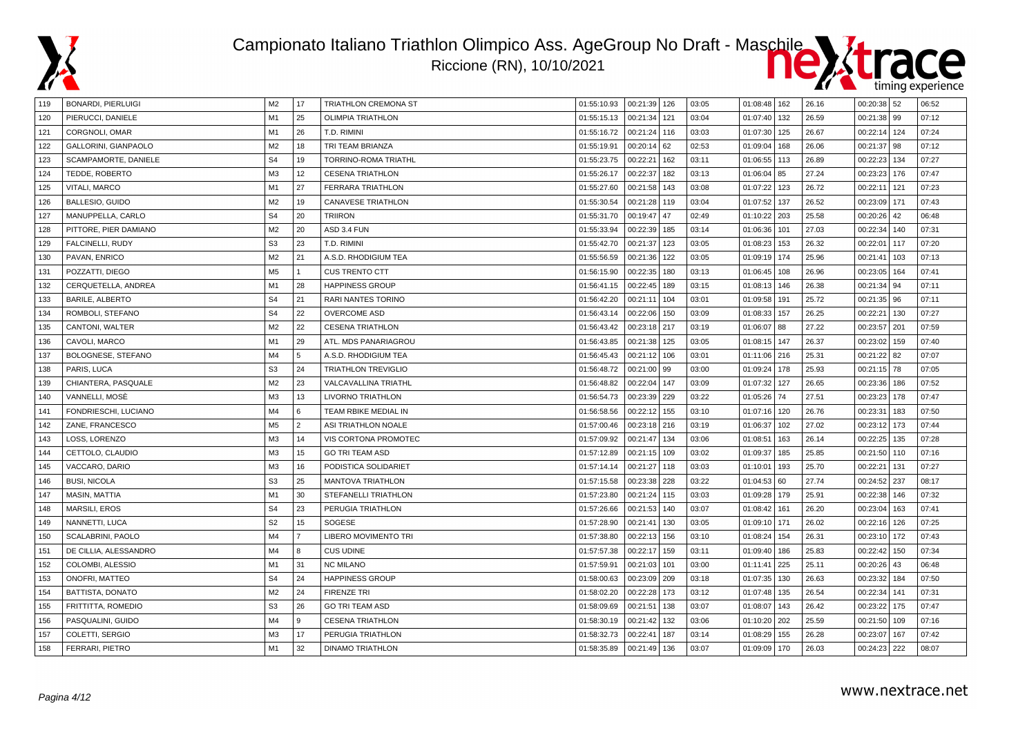



| 119 | <b>BONARDI, PIERLUIGI</b> | M2             | 17             | TRIATHLON CREMONA ST        | 01:55:10.93 | 00:21:39 126   |     | 03:05 | 01:08:48 162 |     | 26.16 | $00:20:38$ 52  |       | 06:52 |
|-----|---------------------------|----------------|----------------|-----------------------------|-------------|----------------|-----|-------|--------------|-----|-------|----------------|-------|-------|
| 120 | PIERUCCI, DANIELE         | M1             | 25             | <b>OLIMPIA TRIATHLON</b>    | 01:55:15.13 | 00:21:34       | 121 | 03:04 | 01:07:40     | 132 | 26.59 | 00:21:38   99  |       | 07:12 |
| 121 | CORGNOLI, OMAR            | M1             | 26             | T.D. RIMINI                 | 01:55:16.72 | 00:21:24 116   |     | 03:03 | 01:07:30     | 125 | 26.67 | 00:22:14 124   |       | 07:24 |
| 122 | GALLORINI, GIANPAOLO      | M <sub>2</sub> | 18             | TRI TEAM BRIANZA            | 01:55:19.91 | $00:20:14$ 62  |     | 02:53 | 01:09:04     | 168 | 26.06 | $00:21:37$ 98  |       | 07:12 |
| 123 | SCAMPAMORTE, DANIELE      | S <sub>4</sub> | 19             | TORRINO-ROMA TRIATHL        | 01:55:23.75 | 00:22:21       | 162 | 03:11 | 01:06:55     | 113 | 26.89 | 00:22:23       | 134   | 07:27 |
| 124 | TEDDE, ROBERTO            | M <sub>3</sub> | 12             | <b>CESENA TRIATHLON</b>     | 01:55:26.17 | 00:22:37       | 182 | 03:13 | 01:06:04     | 85  | 27.24 | 00:23:23       | 176   | 07:47 |
| 125 | VITALI, MARCO             | M1             | 27             | <b>FERRARA TRIATHLON</b>    | 01:55:27.60 | 00:21:58       | 143 | 03:08 | 01:07:22     | 123 | 26.72 | 00:22:11       | 121   | 07:23 |
| 126 | <b>BALLESIO, GUIDO</b>    | M <sub>2</sub> | 19             | <b>CANAVESE TRIATHLON</b>   | 01:55:30.54 | 00:21:28       | 119 | 03:04 | 01:07:52     | 137 | 26.52 | 00:23:09       | l 171 | 07:43 |
| 127 | MANUPPELLA, CARLO         | S <sub>4</sub> | 20             | <b>TRIIRON</b>              | 01:55:31.70 | 00:19:47       | 47  | 02:49 | 01:10:22     | 203 | 25.58 | 00:20:26       | 42    | 06:48 |
| 128 | PITTORE, PIER DAMIANO     | M <sub>2</sub> | 20             | ASD 3.4 FUN                 | 01:55:33.94 | 00:22:39       | 185 | 03:14 | 01:06:36     | 101 | 27.03 | 00:22:34       | 140   | 07:31 |
| 129 | FALCINELLI, RUDY          | S <sub>3</sub> | 23             | T.D. RIMINI                 | 01:55:42.70 | 00:21:37       | 123 | 03:05 | 01:08:23     | 153 | 26.32 | 00:22:01       | 117   | 07:20 |
| 130 | PAVAN, ENRICO             | M <sub>2</sub> | 21             | A.S.D. RHODIGIUM TEA        | 01:55:56.59 | 00:21:36       | 122 | 03:05 | 01:09:19     | 174 | 25.96 | 00:21:41       | 103   | 07:13 |
| 131 | POZZATTI, DIEGO           | M <sub>5</sub> | $\mathbf{1}$   | <b>CUS TRENTO CTT</b>       | 01:56:15.90 | 00:22:35       | 180 | 03:13 | 01:06:45     | 108 | 26.96 | 00:23:05   164 |       | 07:41 |
| 132 | CERQUETELLA, ANDREA       | M1             | 28             | <b>HAPPINESS GROUP</b>      | 01:56:41.15 | 00:22:45       | 189 | 03:15 | 01:08:13     | 146 | 26.38 | $00:21:34$ 94  |       | 07:11 |
| 133 | <b>BARILE, ALBERTO</b>    | S <sub>4</sub> | 21             | RARI NANTES TORINO          | 01:56:42.20 | 00:21:11       | 104 | 03:01 | 01:09:58     | 191 | 25.72 | $00:21:35$ 96  |       | 07:11 |
| 134 | ROMBOLI, STEFANO          | S <sub>4</sub> | 22             | <b>OVERCOME ASD</b>         | 01:56:43.14 | 00:22:06       | 150 | 03:09 | 01:08:33     | 157 | 26.25 | 00:22:21       | l 130 | 07:27 |
| 135 | CANTONI, WALTER           | M <sub>2</sub> | 22             | <b>CESENA TRIATHLON</b>     | 01:56:43.42 | 00:23:18 217   |     | 03:19 | 01:06:07     | 88  | 27.22 | 00:23:57       | 201   | 07:59 |
| 136 | CAVOLI, MARCO             | M1             | 29             | ATL. MDS PANARIAGROU        | 01:56:43.85 | 00:21:38       | 125 | 03:05 | 01:08:15     | 147 | 26.37 | 00:23:02       | 159   | 07:40 |
| 137 | BOLOGNESE, STEFANO        | M4             | 5              | A.S.D. RHODIGIUM TEA        | 01:56:45.43 | 00:21:12       | 106 | 03:01 | 01:11:06     | 216 | 25.31 | 00:21:22       | 82    | 07:07 |
| 138 | PARIS, LUCA               | S <sub>3</sub> | 24             | TRIATHLON TREVIGLIO         | 01:56:48.72 | 00:21:00 99    |     | 03:00 | 01:09:24     | 178 | 25.93 | $00:21:15$ 78  |       | 07:05 |
| 139 | CHIANTERA, PASQUALE       | M <sub>2</sub> | 23             | VALCAVALLINA TRIATHL        | 01:56:48.82 | 00:22:04 147   |     | 03:09 | 01:07:32     | 127 | 26.65 | 00:23:36       | 186   | 07:52 |
| 140 | VANNELLI, MOSĖ            | M <sub>3</sub> | 13             | LIVORNO TRIATHLON           | 01:56:54.73 | 00:23:39       | 229 | 03:22 | 01:05:26     | 74  | 27.51 | 00:23:23 178   |       | 07:47 |
| 141 | FONDRIESCHI, LUCIANO      | M <sub>4</sub> | 6              | <b>TEAM RBIKE MEDIAL IN</b> | 01:56:58.56 | 00:22:12       | 155 | 03:10 | 01:07:16     | 120 | 26.76 | 00:23:31       | 183   | 07:50 |
| 142 | ZANE. FRANCESCO           | M <sub>5</sub> | $\overline{2}$ | ASI TRIATHLON NOALE         | 01:57:00.46 | 00:23:18 216   |     | 03:19 | 01:06:37     | 102 | 27.02 | 00:23:12       | 173   | 07:44 |
| 143 | LOSS, LORENZO             | M <sub>3</sub> | 14             | VIS CORTONA PROMOTEC        | 01:57:09.92 | 00:21:47       | 134 | 03:06 | 01:08:51     | 163 | 26.14 | 00:22:25       | 135   | 07:28 |
| 144 | CETTOLO, CLAUDIO          | M <sub>3</sub> | 15             | <b>GO TRI TEAM ASD</b>      | 01:57:12.89 | 00:21:15       | 109 | 03:02 | 01:09:37     | 185 | 25.85 | 00:21:50       | 110   | 07:16 |
| 145 | VACCARO, DARIO            | M <sub>3</sub> | 16             | PODISTICA SOLIDARIET        | 01:57:14.14 | 00:21:27       | 118 | 03:03 | 01:10:01     | 193 | 25.70 | 00:22:21       | 131   | 07:27 |
| 146 | <b>BUSI, NICOLA</b>       | S <sub>3</sub> | 25             | MANTOVA TRIATHLON           | 01:57:15.58 | 00:23:38       | 228 | 03:22 | 01:04:53     | 60  | 27.74 | 00:24:52       | 237   | 08:17 |
| 147 | MASIN, MATTIA             | M1             | 30             | STEFANELLI TRIATHLON        | 01:57:23.80 | 00:21:24       | 115 | 03:03 | 01:09:28     | 179 | 25.91 | 00:22:38       | 146   | 07:32 |
| 148 | <b>MARSILI, EROS</b>      | S <sub>4</sub> | 23             | PERUGIA TRIATHLON           | 01:57:26.66 | 00:21:53       | 140 | 03:07 | 01:08:42     | 161 | 26.20 | 00:23:04       | 163   | 07:41 |
| 149 | NANNETTI, LUCA            | S <sub>2</sub> | 15             | <b>SOGESE</b>               | 01:57:28.90 | 00:21:41       | 130 | 03:05 | 01:09:10     | 171 | 26.02 | 00:22:16 126   |       | 07:25 |
| 150 | <b>SCALABRINI, PAOLO</b>  | M <sub>4</sub> | $\overline{7}$ | LIBERO MOVIMENTO TRI        | 01:57:38.80 | 00:22:13       | 156 | 03:10 | 01:08:24     | 154 | 26.31 | 00:23:10 172   |       | 07:43 |
| 151 | DE CILLIA, ALESSANDRO     | M4             | 8              | <b>CUS UDINE</b>            | 01:57:57.38 | 00:22:17 159   |     | 03:11 | 01:09:40 186 |     | 25.83 | 00:22:42       | 150   | 07:34 |
| 152 | COLOMBI, ALESSIO          | M1             | 31             | <b>NC MILANO</b>            | 01:57:59.91 | 00:21:03       | 101 | 03:00 | 01:11:41     | 225 | 25.11 | 00:20:26       | 43    | 06:48 |
| 153 | <b>ONOFRI, MATTEO</b>     | S <sub>4</sub> | 24             | <b>HAPPINESS GROUP</b>      | 01:58:00.63 | 00:23:09   209 |     | 03:18 | 01:07:35     | 130 | 26.63 | 00:23:32       | 184   | 07:50 |
| 154 | BATTISTA, DONATO          | M <sub>2</sub> | 24             | <b>FIRENZE TRI</b>          | 01:58:02.20 | 00:22:28       | 173 | 03:12 | 01:07:48     | 135 | 26.54 | 00:22:34       | 141   | 07:31 |
| 155 | FRITTITTA, ROMEDIO        | S <sub>3</sub> | 26             | <b>GO TRI TEAM ASD</b>      | 01:58:09.69 | 00:21:51       | 138 | 03:07 | 01:08:07     | 143 | 26.42 | 00:23:22       | l 175 | 07:47 |
| 156 | PASQUALINI, GUIDO         | M4             | 9              | <b>CESENA TRIATHLON</b>     | 01:58:30.19 | 00:21:42 132   |     | 03:06 | 01:10:20     | 202 | 25.59 | 00:21:50       | 109   | 07:16 |
| 157 | COLETTI, SERGIO           | M <sub>3</sub> | 17             | PERUGIA TRIATHLON           | 01:58:32.73 | 00:22:41       | 187 | 03:14 | 01:08:29     | 155 | 26.28 | 00:23:07       | 167   | 07:42 |
| 158 | FERRARI, PIETRO           | M1             | 32             | <b>DINAMO TRIATHLON</b>     | 01:58:35.89 | 00:21:49       | 136 | 03:07 | 01:09:09     | 170 | 26.03 | 00:24:23   222 |       | 08:07 |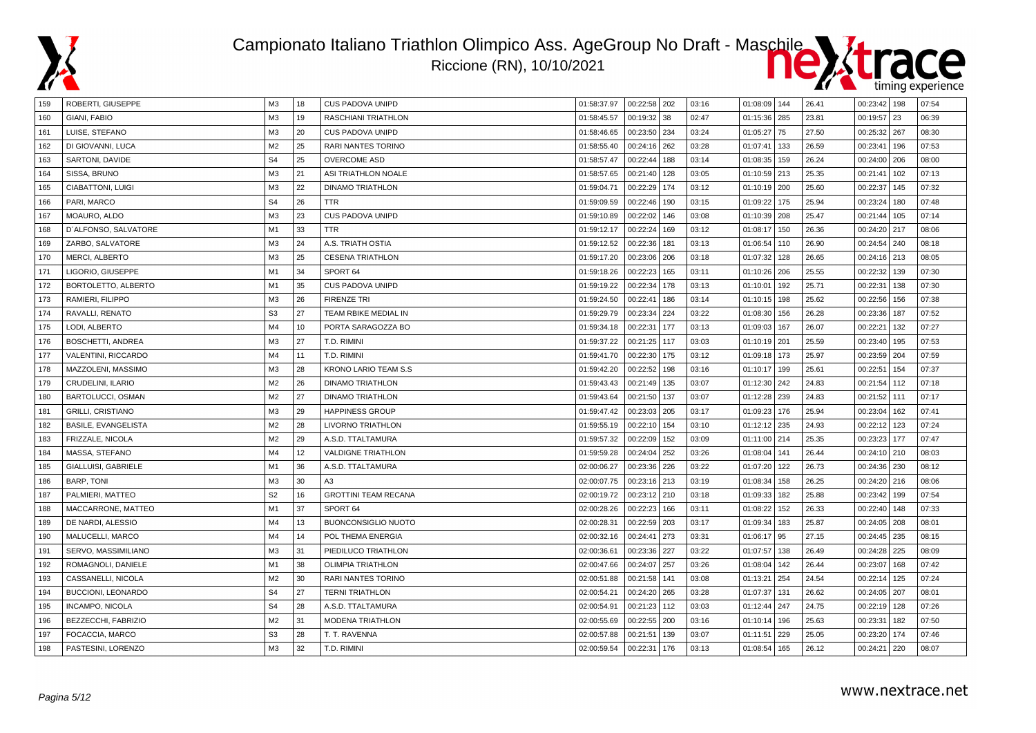



| 159 | ROBERTI, GIUSEPPE          | ΜЗ             | 18 | CUS PADOVA UNIPD            | 01:58:37.97 | $00:22:58$ 202 |     | 03:16 | 01:08:09 144 |     | 26.41 | 00:23:42   198 |     | 07:54 |
|-----|----------------------------|----------------|----|-----------------------------|-------------|----------------|-----|-------|--------------|-----|-------|----------------|-----|-------|
| 160 | GIANI. FABIO               | M <sub>3</sub> | 19 | <b>RASCHIANI TRIATHLON</b>  | 01:58:45.57 | 00:19:32 38    |     | 02:47 | 01:15:36     | 285 | 23.81 | 00:19:57       | 23  | 06:39 |
| 161 | LUISE, STEFANO             | M3             | 20 | <b>CUS PADOVA UNIPD</b>     | 01:58:46.65 | 00:23:50 234   |     | 03:24 | 01:05:27     | 75  | 27.50 | 00:25:32 267   |     | 08:30 |
| 162 | DI GIOVANNI, LUCA          | M2             | 25 | RARI NANTES TORINO          | 01:58:55.40 | 00:24:16 262   |     | 03:28 | 01:07:41     | 133 | 26.59 | 00:23:41       | 196 | 07:53 |
| 163 | SARTONI, DAVIDE            | S <sub>4</sub> | 25 | <b>OVERCOME ASD</b>         | 01:58:57.47 | 00:22:44 188   |     | 03:14 | 01:08:35     | 159 | 26.24 | $00:24:00$ 206 |     | 08:00 |
| 164 | SISSA, BRUNO               | M <sub>3</sub> | 21 | ASI TRIATHLON NOALE         | 01:58:57.65 | 00:21:40 128   |     | 03:05 | 01:10:59     | 213 | 25.35 | 00:21:41       | 102 | 07:13 |
| 165 | <b>CIABATTONI, LUIGI</b>   | M <sub>3</sub> | 22 | <b>DINAMO TRIATHLON</b>     | 01:59:04.71 | 00:22:29       | 174 | 03:12 | 01:10:19     | 200 | 25.60 | 00:22:37       | 145 | 07:32 |
| 166 | PARI, MARCO                | S <sub>4</sub> | 26 | TTR                         | 01:59:09.59 | 00:22:46       | 190 | 03:15 | 01:09:22     | 175 | 25.94 | 00:23:24       | 180 | 07:48 |
| 167 | MOAURO, ALDO               | M <sub>3</sub> | 23 | <b>CUS PADOVA UNIPD</b>     | 01:59:10.89 | 00:22:02       | 146 | 03:08 | 01:10:39     | 208 | 25.47 | 00:21:44       | 105 | 07:14 |
| 168 | D'ALFONSO, SALVATORE       | M1             | 33 | TTR.                        | 01:59:12.17 | 00:22:24       | 169 | 03:12 | 01:08:17     | 150 | 26.36 | 00:24:20 217   |     | 08:06 |
| 169 | ZARBO, SALVATORE           | M <sub>3</sub> | 24 | A.S. TRIATH OSTIA           | 01:59:12.52 | 00:22:36       | 181 | 03:13 | 01:06:54     | 110 | 26.90 | 00:24:54       | 240 | 08:18 |
| 170 | MERCI, ALBERTO             | M <sub>3</sub> | 25 | <b>CESENA TRIATHLON</b>     | 01:59:17.20 | 00:23:06   206 |     | 03:18 | 01:07:32     | 128 | 26.65 | 00:24:16 213   |     | 08:05 |
| 171 | LIGORIO, GIUSEPPE          | M1             | 34 | SPORT <sub>64</sub>         | 01:59:18.26 | 00:22:23       | 165 | 03:11 | 01:10:26     | 206 | 25.55 | 00:22:32       | 139 | 07:30 |
| 172 | BORTOLETTO, ALBERTO        | M <sub>1</sub> | 35 | CUS PADOVA UNIPD            | 01:59:19.22 | 00:22:34 178   |     | 03:13 | 01:10:01     | 192 | 25.71 | 00:22:31       | 138 | 07:30 |
| 173 | RAMIERI, FILIPPO           | M <sub>3</sub> | 26 | <b>FIRENZE TRI</b>          | 01:59:24.50 | 00:22:41       | 186 | 03:14 | 01:10:15     | 198 | 25.62 | 00:22:56       | 156 | 07:38 |
| 174 | RAVALLI, RENATO            | S <sub>3</sub> | 27 | TEAM RBIKE MEDIAL IN        | 01:59:29.79 | 00:23:34 224   |     | 03:22 | 01:08:30     | 156 | 26.28 | 00:23:36   187 |     | 07:52 |
| 175 | LODI, ALBERTO              | M4             | 10 | PORTA SARAGOZZA BO          | 01:59:34.18 | 00:22:31 177   |     | 03:13 | 01:09:03     | 167 | 26.07 | 00:22:21       | 132 | 07:27 |
| 176 | BOSCHETTI, ANDREA          | M <sub>3</sub> | 27 | T.D. RIMINI                 | 01:59:37.22 | 00:21:25 117   |     | 03:03 | 01:10:19     | 201 | 25.59 | 00:23:40   195 |     | 07:53 |
| 177 | VALENTINI, RICCARDO        | M4             | 11 | T.D. RIMINI                 | 01:59:41.70 | 00:22:30 175   |     | 03:12 | 01:09:18     | 173 | 25.97 | 00:23:59   204 |     | 07:59 |
| 178 | MAZZOLENI, MASSIMO         | M3             | 28 | <b>KRONO LARIO TEAM S.S</b> | 01:59:42.20 | 00:22:52       | 198 | 03:16 | 01:10:17     | 199 | 25.61 | 00:22:51       | 154 | 07:37 |
| 179 | CRUDELINI, ILARIO          | M2             | 26 | <b>DINAMO TRIATHLON</b>     | 01:59:43.43 | 00:21:49 135   |     | 03:07 | 01:12:30     | 242 | 24.83 | 00:21:54 112   |     | 07:18 |
| 180 | BARTOLUCCI, OSMAN          | M2             | 27 | <b>DINAMO TRIATHLON</b>     | 01:59:43.64 | 00:21:50 137   |     | 03:07 | 01:12:28     | 239 | 24.83 | 00:21:52 111   |     | 07:17 |
| 181 | <b>GRILLI, CRISTIANO</b>   | M <sub>3</sub> | 29 | <b>HAPPINESS GROUP</b>      | 01:59:47.42 | 00:23:03 205   |     | 03:17 | 01:09:23     | 176 | 25.94 | 00:23:04       | 162 | 07:41 |
| 182 | <b>BASILE, EVANGELISTA</b> | M2             | 28 | <b>LIVORNO TRIATHLON</b>    | 01:59:55.19 | 00:22:10 154   |     | 03:10 | 01:12:12     | 235 | 24.93 | 00:22:12       | 123 | 07:24 |
| 183 | FRIZZALE, NICOLA           | M2             | 29 | A.S.D. TTALTAMURA           | 01:59:57.32 | 00:22:09 152   |     | 03:09 | 01:11:00 214 |     | 25.35 | 00:23:23 177   |     | 07:47 |
| 184 | MASSA, STEFANO             | M4             | 12 | <b>VALDIGNE TRIATHLON</b>   | 01:59:59.28 | 00:24:04 252   |     | 03:26 | 01:08:04     | 141 | 26.44 | 00:24:10 210   |     | 08:03 |
| 185 | <b>GIALLUISI, GABRIELE</b> | M1             | 36 | A.S.D. TTALTAMURA           | 02:00:06.27 | 00:23:36       | 226 | 03:22 | 01:07:20     | 122 | 26.73 | 00:24:36   230 |     | 08:12 |
| 186 | BARP, TONI                 | M3             | 30 | A3                          | 02:00:07.75 | 00:23:16 213   |     | 03:19 | 01:08:34     | 158 | 26.25 | 00:24:20 216   |     | 08:06 |
| 187 | PALMIERI, MATTEO           | S <sub>2</sub> | 16 | <b>GROTTINI TEAM RECANA</b> | 02:00:19.72 | 00:23:12 210   |     | 03:18 | 01:09:33     | 182 | 25.88 | 00:23:42       | 199 | 07:54 |
| 188 | MACCARRONE, MATTEO         | M <sub>1</sub> | 37 | SPORT 64                    | 02:00:28.26 | 00:22:23       | 166 | 03:11 | 01:08:22     | 152 | 26.33 | 00:22:40   148 |     | 07:33 |
| 189 | DE NARDI, ALESSIO          | M4             | 13 | <b>BUONCONSIGLIO NUOTO</b>  | 02:00:28.31 | 00:22:59 203   |     | 03:17 | 01:09:34     | 183 | 25.87 | $00:24:05$ 208 |     | 08:01 |
| 190 | MALUCELLI, MARCO           | M4             | 14 | POL THEMA ENERGIA           | 02:00:32.16 | 00:24:41 273   |     | 03:31 | 01:06:17     | 95  | 27.15 | 00:24:45   235 |     | 08:15 |
| 191 | SERVO, MASSIMILIANO        | M <sub>3</sub> | 31 | PIEDILUCO TRIATHLON         | 02:00:36.61 | 00:23:36 227   |     | 03:22 | 01:07:57     | 138 | 26.49 | 00:24:28   225 |     | 08:09 |
| 192 | ROMAGNOLI, DANIELE         | M <sub>1</sub> | 38 | <b>OLIMPIA TRIATHLON</b>    | 02:00:47.66 | 00:24:07 257   |     | 03:26 | 01:08:04     | 142 | 26.44 | 00:23:07       | 168 | 07:42 |
| 193 | CASSANELLI, NICOLA         | M2             | 30 | RARI NANTES TORINO          | 02:00:51.88 | 00:21:58 141   |     | 03:08 | 01:13:21     | 254 | 24.54 | 00:22:14       | 125 | 07:24 |
| 194 | BUCCIONI, LEONARDO         | S <sub>4</sub> | 27 | <b>TERNI TRIATHLON</b>      | 02:00:54.21 | 00:24:20 265   |     | 03:28 | 01:07:37     | 131 | 26.62 | 00:24:05       | 207 | 08:01 |
| 195 | <b>INCAMPO, NICOLA</b>     | S <sub>4</sub> | 28 | A.S.D. TTALTAMURA           | 02:00:54.91 | 00:21:23 112   |     | 03:03 | 01:12:44     | 247 | 24.75 | 00:22:19 128   |     | 07:26 |
| 196 | BEZZECCHI, FABRIZIO        | M <sub>2</sub> | 31 | <b>MODENA TRIATHLON</b>     | 02:00:55.69 | 00:22:55   200 |     | 03:16 | 01:10:14     | 196 | 25.63 | 00:23:31       | 182 | 07:50 |
| 197 | FOCACCIA, MARCO            | S <sub>3</sub> | 28 | T. T. RAVENNA               | 02:00:57.88 | 00:21:51       | 139 | 03:07 | 01:11:51     | 229 | 25.05 | 00:23:20       | 174 | 07:46 |
| 198 | PASTESINI. LORENZO         | M <sub>3</sub> | 32 | T.D. RIMINI                 | 02:00:59.54 | 00:22:31   176 |     | 03:13 | 01:08:54     | 165 | 26.12 | 00:24:21       | 220 | 08:07 |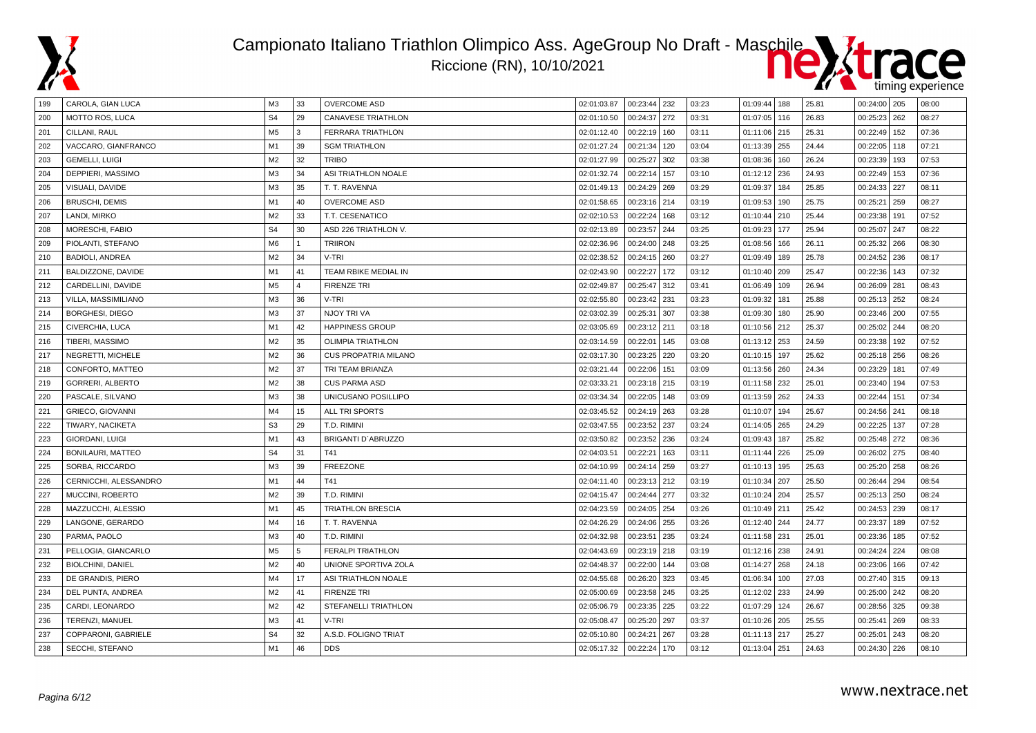



| 199 | CAROLA, GIAN LUCA        | ΜЗ             | 33             | <b>OVERCOME ASD</b>         | 02:01:03.87 | 00:23:44 232   |     | 03:23 | 01:09:44 188 |     | 25.81 | $00:24:00$   205 |     | 08:00 |
|-----|--------------------------|----------------|----------------|-----------------------------|-------------|----------------|-----|-------|--------------|-----|-------|------------------|-----|-------|
| 200 | MOTTO ROS, LUCA          | S <sub>4</sub> | 29             | <b>CANAVESE TRIATHLON</b>   | 02:01:10.50 | 00:24:37       | 272 | 03:31 | 01:07:05     | 116 | 26.83 | 00:25:23         | 262 | 08:27 |
| 201 | CILLANI, RAUL            | M <sub>5</sub> | 3              | FERRARA TRIATHLON           | 02:01:12.40 | 00:22:19       | 160 | 03:11 | 01:11:06 215 |     | 25.31 | 00:22:49         | 152 | 07:36 |
| 202 | VACCARO, GIANFRANCO      | M1             | 39             | <b>SGM TRIATHLON</b>        | 02:01:27.24 | 00:21:34       | 120 | 03:04 | 01:13:39 255 |     | 24.44 | 00:22:05   118   |     | 07:21 |
| 203 | <b>GEMELLI, LUIGI</b>    | M <sub>2</sub> | 32             | <b>TRIBO</b>                | 02:01:27.99 | 00:25:27       | 302 | 03:38 | 01:08:36     | 160 | 26.24 | 00:23:39         | 193 | 07:53 |
| 204 | DEPPIERI, MASSIMO        | M <sub>3</sub> | 34             | ASI TRIATHLON NOALE         | 02:01:32.74 | 00:22:14       | 157 | 03:10 | 01:12:12 236 |     | 24.93 | 00:22:49   153   |     | 07:36 |
| 205 | VISUALI, DAVIDE          | M3             | 35             | T. T. RAVENNA               | 02:01:49.13 | 00:24:29       | 269 | 03:29 | 01:09:37     | 184 | 25.85 | 00:24:33         | 227 | 08:11 |
| 206 | <b>BRUSCHI, DEMIS</b>    | M1             | 40             | <b>OVERCOME ASD</b>         | 02:01:58.65 | 00:23:16 214   |     | 03:19 | 01:09:53     | 190 | 25.75 | 00:25:21         | 259 | 08:27 |
| 207 | LANDI, MIRKO             | M <sub>2</sub> | 33             | T.T. CESENATICO             | 02:02:10.53 | 00:22:24       | 168 | 03:12 | 01:10:44     | 210 | 25.44 | 00:23:38         | 191 | 07:52 |
| 208 | MORESCHI, FABIO          | S <sub>4</sub> | 30             | ASD 226 TRIATHLON V.        | 02:02:13.89 | 00:23:57       | 244 | 03:25 | 01:09:23     | 177 | 25.94 | 00:25:07         | 247 | 08:22 |
| 209 | PIOLANTI, STEFANO        | M <sub>6</sub> | $\mathbf{1}$   | <b>TRIIRON</b>              | 02:02:36.96 | 00:24:00       | 248 | 03:25 | 01:08:56     | 166 | 26.11 | 00:25:32         | 266 | 08:30 |
| 210 | <b>BADIOLI, ANDREA</b>   | M <sub>2</sub> | 34             | V-TRI                       | 02:02:38.52 | 00:24:15       | 260 | 03:27 | 01:09:49     | 189 | 25.78 | 00:24:52         | 236 | 08:17 |
| 211 | BALDIZZONE, DAVIDE       | M1             | 41             | TEAM RBIKE MEDIAL IN        | 02:02:43.90 | 00:22:27       | 172 | 03:12 | 01:10:40 209 |     | 25.47 | 00:22:36         | 143 | 07:32 |
| 212 | CARDELLINI, DAVIDE       | M <sub>5</sub> | $\overline{4}$ | <b>FIRENZE TRI</b>          | 02:02:49.87 | 00:25:47 312   |     | 03:41 | 01:06:49 109 |     | 26.94 | 00:26:09   281   |     | 08:43 |
| 213 | VILLA, MASSIMILIANO      | M <sub>3</sub> | 36             | V-TRI                       | 02:02:55.80 | 00:23:42       | 231 | 03:23 | 01:09:32     | 181 | 25.88 | 00:25:13   252   |     | 08:24 |
| 214 | <b>BORGHESI, DIEGO</b>   | M <sub>3</sub> | 37             | NJOY TRI VA                 | 02:03:02.39 | 00:25:31       | 307 | 03:38 | 01:09:30     | 180 | 25.90 | 00:23:46   200   |     | 07:55 |
| 215 | CIVERCHIA, LUCA          | M1             | 42             | <b>HAPPINESS GROUP</b>      | 02:03:05.69 | 00:23:12 211   |     | 03:18 | 01:10:56 212 |     | 25.37 | 00:25:02   244   |     | 08:20 |
| 216 | TIBERI, MASSIMO          | M <sub>2</sub> | 35             | <b>OLIMPIA TRIATHLON</b>    | 02:03:14.59 | 00:22:01       | 145 | 03:08 | 01:13:12 253 |     | 24.59 | 00:23:38         | 192 | 07:52 |
| 217 | NEGRETTI, MICHELE        | M <sub>2</sub> | 36             | <b>CUS PROPATRIA MILANO</b> | 02:03:17.30 | 00:23:25       | 220 | 03:20 | 01:10:15     | 197 | 25.62 | 00:25:18         | 256 | 08:26 |
| 218 | CONFORTO, MATTEO         | M <sub>2</sub> | 37             | TRI TEAM BRIANZA            | 02:03:21.44 | 00:22:06       | 151 | 03:09 | 01:13:56 260 |     | 24.34 | 00:23:29         | 181 | 07:49 |
| 219 | GORRERI, ALBERTO         | M <sub>2</sub> | 38             | <b>CUS PARMA ASD</b>        | 02:03:33.21 | 00:23:18 215   |     | 03:19 | 01:11:58 232 |     | 25.01 | 00:23:40         | 194 | 07:53 |
| 220 | PASCALE, SILVANO         | M3             | 38             | UNICUSANO POSILLIPO         | 02:03:34.34 | 00:22:05       | 148 | 03:09 | 01:13:59 262 |     | 24.33 | 00:22:44         | 151 | 07:34 |
| 221 | <b>GRIECO, GIOVANNI</b>  | M4             | 15             | ALL TRI SPORTS              | 02:03:45.52 | 00:24:19 263   |     | 03:28 | 01:10:07     | 194 | 25.67 | 00:24:56 241     |     | 08:18 |
| 222 | TIWARY, NACIKETA         | S <sub>3</sub> | 29             | T.D. RIMINI                 | 02:03:47.55 | 00:23:52       | 237 | 03:24 | 01:14:05 265 |     | 24.29 | 00:22:25         | 137 | 07:28 |
| 223 | GIORDANI, LUIGI          | M1             | 43             | BRIGANTI D'ABRUZZO          | 02:03:50.82 | 00:23:52       | 236 | 03:24 | 01:09:43     | 187 | 25.82 | 00:25:48   272   |     | 08:36 |
| 224 | <b>BONILAURI, MATTEO</b> | S <sub>4</sub> | 31             | T41                         | 02:04:03.51 | 00:22:21       | 163 | 03:11 | 01:11:44     | 226 | 25.09 | 00:26:02         | 275 | 08:40 |
| 225 | SORBA, RICCARDO          | M <sub>3</sub> | 39             | <b>FREEZONE</b>             | 02:04:10.99 | 00:24:14       | 259 | 03:27 | 01:10:13     | 195 | 25.63 | 00:25:20         | 258 | 08:26 |
| 226 | CERNICCHI, ALESSANDRO    | M1             | 44             | T41                         | 02:04:11.40 | 00:23:13       | 212 | 03:19 | 01:10:34     | 207 | 25.50 | 00:26:44         | 294 | 08:54 |
| 227 | MUCCINI, ROBERTO         | M <sub>2</sub> | 39             | T.D. RIMINI                 | 02:04:15.47 | 00:24:44       | 277 | 03:32 | 01:10:24 204 |     | 25.57 | 00:25:13         | 250 | 08:24 |
| 228 | MAZZUCCHI, ALESSIO       | M1             | 45             | <b>TRIATHLON BRESCIA</b>    | 02:04:23.59 | 00:24:05   254 |     | 03:26 | 01:10:49 211 |     | 25.42 | 00:24:53   239   |     | 08:17 |
| 229 | LANGONE, GERARDO         | M <sub>4</sub> | 16             | T. T. RAVENNA               | 02:04:26.29 | 00:24:06   255 |     | 03:26 | 01:12:40 244 |     | 24.77 | 00:23:37         | 189 | 07:52 |
| 230 | PARMA, PAOLO             | M <sub>3</sub> | 40             | T.D. RIMINI                 | 02:04:32.98 | 00:23:51       | 235 | 03:24 | 01:11:58 231 |     | 25.01 | 00:23:36         | 185 | 07:52 |
| 231 | PELLOGIA, GIANCARLO      | M <sub>5</sub> | 5              | <b>FERALPI TRIATHLON</b>    | 02:04:43.69 | 00:23:19 218   |     | 03:19 | 01:12:16 238 |     | 24.91 | 00:24:24         | 224 | 08:08 |
| 232 | <b>BIOLCHINI, DANIEL</b> | M <sub>2</sub> | 40             | UNIONE SPORTIVA ZOLA        | 02:04:48.37 | 00:22:00       | 144 | 03:08 | 01:14:27 268 |     | 24.18 | 00:23:06   166   |     | 07:42 |
| 233 | DE GRANDIS, PIERO        | M4             | 17             | ASI TRIATHLON NOALE         | 02:04:55.68 | 00:26:20       | 323 | 03:45 | 01:06:34     | 100 | 27.03 | 00:27:40         | 315 | 09:13 |
| 234 | DEL PUNTA, ANDREA        | M <sub>2</sub> | 41             | <b>FIRENZE TRI</b>          | 02:05:00.69 | 00:23:58       | 245 | 03:25 | 01:12:02     | 233 | 24.99 | 00:25:00         | 242 | 08:20 |
| 235 | CARDI, LEONARDO          | M <sub>2</sub> | 42             | <b>STEFANELLI TRIATHLON</b> | 02:05:06.79 | 00:23:35       | 225 | 03:22 | 01:07:29     | 124 | 26.67 | 00:28:56         | 325 | 09:38 |
| 236 | TERENZI, MANUEL          | M3             | 41             | V-TRI                       | 02:05:08.47 | 00:25:20       | 297 | 03:37 | 01:10:26 205 |     | 25.55 | 00:25:41         | 269 | 08:33 |
| 237 | COPPARONI, GABRIELE      | S <sub>4</sub> | 32             | A.S.D. FOLIGNO TRIAT        | 02:05:10.80 | 00:24:21       | 267 | 03:28 | 01:11:13 217 |     | 25.27 | 00:25:01         | 243 | 08:20 |
| 238 | SECCHI, STEFANO          | M1             | 46             | <b>DDS</b>                  | 02:05:17.32 | 00:22:24       | 170 | 03:12 | 01:13:04 251 |     | 24.63 | 00:24:30   226   |     | 08:10 |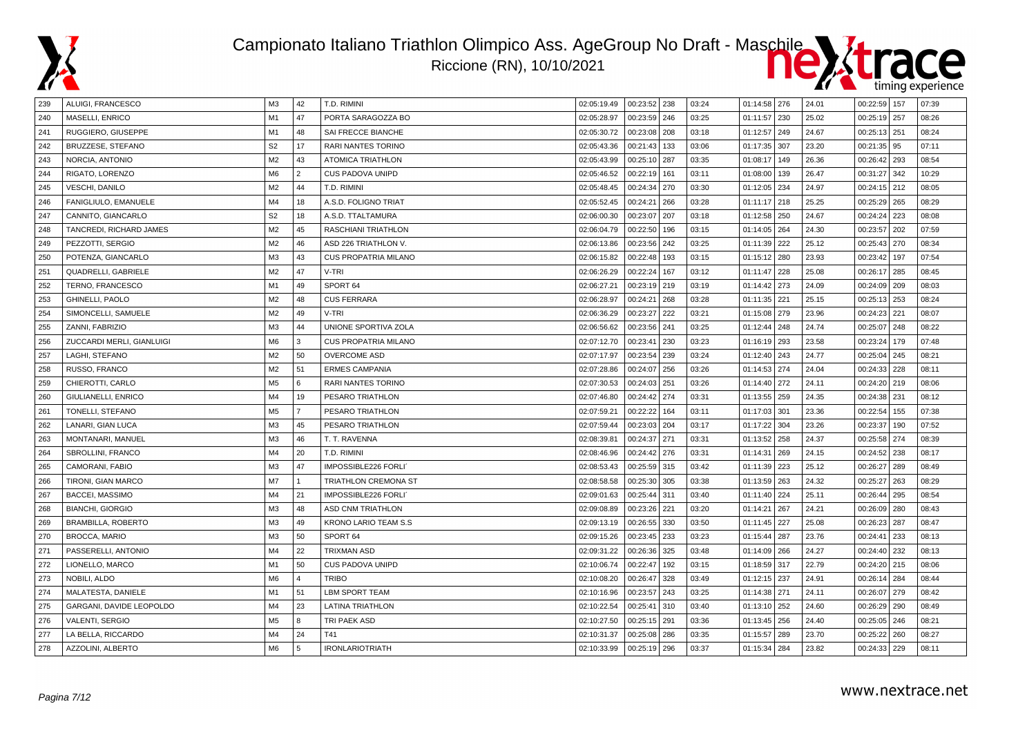



| 239 | ALUIGI, FRANCESCO         | ΜЗ             | 42             | T.D. RIMINI                 | 02:05:19.49 | 00:23:52 238 |     | 03:24 | 01:14:58 276   |     | 24.01 | 00:22:59   157 |     | 07:39 |
|-----|---------------------------|----------------|----------------|-----------------------------|-------------|--------------|-----|-------|----------------|-----|-------|----------------|-----|-------|
| 240 | MASELLI, ENRICO           | M1             | 47             | PORTA SARAGOZZA BO          | 02:05:28.97 | 00:23:59     | 246 | 03:25 | 01:11:57       | 230 | 25.02 | 00:25:19 257   |     | 08:26 |
| 241 | RUGGIERO, GIUSEPPE        | M1             | 48             | SAI FRECCE BIANCHE          | 02:05:30.72 | 00:23:08     | 208 | 03:18 | 01:12:57 249   |     | 24.67 | 00:25:13   251 |     | 08:24 |
| 242 | BRUZZESE, STEFANO         | S <sub>2</sub> | 17             | <b>RARI NANTES TORINO</b>   | 02:05:43.36 | 00:21:43     | 133 | 03:06 | 01:17:35 307   |     | 23.20 | $00:21:35$ 95  |     | 07:11 |
| 243 | NORCIA, ANTONIO           | M <sub>2</sub> | 43             | <b>ATOMICA TRIATHLON</b>    | 02:05:43.99 | 00:25:10 287 |     | 03:35 | 01:08:17       | 149 | 26.36 | 00:26:42       | 293 | 08:54 |
| 244 | RIGATO, LORENZO           | M6             | $\overline{2}$ | <b>CUS PADOVA UNIPD</b>     | 02:05:46.52 | 00:22:19     | 161 | 03:11 | 01:08:00       | 139 | 26.47 | 00:31:27       | 342 | 10:29 |
| 245 | <b>VESCHI, DANILO</b>     | M <sub>2</sub> | 44             | T.D. RIMINI                 | 02:05:48.45 | 00:24:34     | 270 | 03:30 | 01:12:05 234   |     | 24.97 | 00:24:15 212   |     | 08:05 |
| 246 | FANIGLIULO, EMANUELE      | M4             | 18             | A.S.D. FOLIGNO TRIAT        | 02:05:52.45 | 00:24:21     | 266 | 03:28 | $01:11:17$ 218 |     | 25.25 | 00:25:29 265   |     | 08:29 |
| 247 | CANNITO, GIANCARLO        | S <sub>2</sub> | 18             | A.S.D. TTALTAMURA           | 02:06:00.30 | 00:23:07     | 207 | 03:18 | 01:12:58 250   |     | 24.67 | 00:24:24       | 223 | 08:08 |
| 248 | TANCREDI, RICHARD JAMES   | M <sub>2</sub> | 45             | RASCHIANI TRIATHLON         | 02:06:04.79 | 00:22:50     | 196 | 03:15 | 01:14:05 264   |     | 24.30 | 00:23:57       | 202 | 07:59 |
| 249 | PEZZOTTI, SERGIO          | M <sub>2</sub> | 46             | ASD 226 TRIATHLON V.        | 02:06:13.86 | 00:23:56     | 242 | 03:25 | 01:11:39       | 222 | 25.12 | 00:25:43       | 270 | 08:34 |
| 250 | POTENZA, GIANCARLO        | M3             | 43             | <b>CUS PROPATRIA MILANO</b> | 02:06:15.82 | 00:22:48     | 193 | 03:15 | 01:15:12 280   |     | 23.93 | 00:23:42       | 197 | 07:54 |
| 251 | QUADRELLI, GABRIELE       | M <sub>2</sub> | 47             | V-TRI                       | 02:06:26.29 | 00:22:24     | 167 | 03:12 | 01:11:47 228   |     | 25.08 | 00:26:17       | 285 | 08:45 |
| 252 | TERNO, FRANCESCO          | M <sub>1</sub> | 49             | SPORT 64                    | 02:06:27.21 | 00:23:19 219 |     | 03:19 | 01:14:42 273   |     | 24.09 | 00:24:09   209 |     | 08:03 |
| 253 | GHINELLI, PAOLO           | M <sub>2</sub> | 48             | <b>CUS FERRARA</b>          | 02:06:28.97 | 00:24:21     | 268 | 03:28 | 01:11:35 221   |     | 25.15 | 00:25:13   253 |     | 08:24 |
| 254 | SIMONCELLI, SAMUELE       | M <sub>2</sub> | 49             | V-TRI                       | 02:06:36.29 | 00:23:27     | 222 | 03:21 | 01:15:08 279   |     | 23.96 | 00:24:23 221   |     | 08:07 |
| 255 | ZANNI, FABRIZIO           | M3             | 44             | UNIONE SPORTIVA ZOLA        | 02:06:56.62 | 00:23:56 241 |     | 03:25 | 01:12:44 248   |     | 24.74 | 00:25:07       | 248 | 08:22 |
| 256 | ZUCCARDI MERLI, GIANLUIGI | M6             | 3              | <b>CUS PROPATRIA MILANO</b> | 02:07:12.70 | 00:23:41     | 230 | 03:23 | 01:16:19 293   |     | 23.58 | 00:23:24       | 179 | 07:48 |
| 257 | LAGHI, STEFANO            | M <sub>2</sub> | 50             | <b>OVERCOME ASD</b>         | 02:07:17.97 | 00:23:54     | 239 | 03:24 | 01:12:40       | 243 | 24.77 | 00:25:04       | 245 | 08:21 |
| 258 | RUSSO, FRANCO             | M <sub>2</sub> | 51             | <b>ERMES CAMPANIA</b>       | 02:07:28.86 | 00:24:07     | 256 | 03:26 | 01:14:53 274   |     | 24.04 | 00:24:33       | 228 | 08:11 |
| 259 | CHIEROTTI, CARLO          | M <sub>5</sub> | 6              | RARI NANTES TORINO          | 02:07:30.53 | 00:24:03 251 |     | 03:26 | 01:14:40 272   |     | 24.11 | 00:24:20 219   |     | 08:06 |
| 260 | GIULIANELLI, ENRICO       | M4             | 19             | PESARO TRIATHLON            | 02:07:46.80 | 00:24:42     | 274 | 03:31 | 01:13:55 259   |     | 24.35 | 00:24:38       | 231 | 08:12 |
| 261 | TONELLI, STEFANO          | M <sub>5</sub> | $\overline{7}$ | PESARO TRIATHLON            | 02:07:59.21 | 00:22:22     | 164 | 03:11 | 01:17:03 301   |     | 23.36 | 00:22:54       | 155 | 07:38 |
| 262 | LANARI, GIAN LUCA         | M <sub>3</sub> | 45             | PESARO TRIATHLON            | 02:07:59.44 | 00:23:03 204 |     | 03:17 | 01:17:22 304   |     | 23.26 | 00:23:37       | 190 | 07:52 |
| 263 | MONTANARI, MANUEL         | M <sub>3</sub> | 46             | T. T. RAVENNA               | 02:08:39.81 | 00:24:37     | 271 | 03:31 | 01:13:52 258   |     | 24.37 | 00:25:58   274 |     | 08:39 |
| 264 | SBROLLINI, FRANCO         | M <sub>4</sub> | 20             | T.D. RIMINI                 | 02:08:46.96 | 00:24:42     | 276 | 03:31 | 01:14:31       | 269 | 24.15 | 00:24:52       | 238 | 08:17 |
| 265 | CAMORANI, FABIO           | M <sub>3</sub> | 47             | IMPOSSIBLE226 FORLI         | 02:08:53.43 | 00:25:59     | 315 | 03:42 | 01:11:39       | 223 | 25.12 | 00:26:27       | 289 | 08:49 |
| 266 | TIRONI, GIAN MARCO        | M7             | $\overline{1}$ | TRIATHLON CREMONA ST        | 02:08:58.58 | 00:25:30     | 305 | 03:38 | 01:13:59 263   |     | 24.32 | 00:25:27       | 263 | 08:29 |
| 267 | <b>BACCEI, MASSIMO</b>    | M4             | 21             | IMPOSSIBLE226 FORLI         | 02:09:01.63 | 00:25:44     | 311 | 03:40 | 01:11:40 224   |     | 25.11 | 00:26:44       | 295 | 08:54 |
| 268 | <b>BIANCHI, GIORGIO</b>   | M <sub>3</sub> | 48             | <b>ASD CNM TRIATHLON</b>    | 02:09:08.89 | 00:23:26     | 221 | 03:20 | 01:14:21       | 267 | 24.21 | 00:26:09       | 280 | 08:43 |
| 269 | BRAMBILLA, ROBERTO        | M <sub>3</sub> | 49             | <b>KRONO LARIO TEAM S.S</b> | 02:09:13.19 | 00:26:55     | 330 | 03:50 | 01:11:45 227   |     | 25.08 | 00:26:23       | 287 | 08:47 |
| 270 | <b>BROCCA, MARIO</b>      | M3             | 50             | SPORT 64                    | 02:09:15.26 | 00:23:45     | 233 | 03:23 | 01:15:44       | 287 | 23.76 | 00:24:41       | 233 | 08:13 |
| 271 | PASSERELLI, ANTONIO       | M <sub>4</sub> | 22             | <b>TRIXMAN ASD</b>          | 02:09:31.22 | 00:26:36     | 325 | 03:48 | 01:14:09 266   |     | 24.27 | 00:24:40   232 |     | 08:13 |
| 272 | LIONELLO, MARCO           | M <sub>1</sub> | 50             | CUS PADOVA UNIPD            | 02:10:06.74 | 00:22:47     | 192 | 03:15 | 01:18:59 317   |     | 22.79 | 00:24:20 215   |     | 08:06 |
| 273 | NOBILI, ALDO              | M6             | $\overline{4}$ | <b>TRIBO</b>                | 02:10:08.20 | 00:26:47     | 328 | 03:49 | 01:12:15 237   |     | 24.91 | 00:26:14       | 284 | 08:44 |
| 274 | MALATESTA, DANIELE        | M1             | 51             | <b>LBM SPORT TEAM</b>       | 02:10:16.96 | 00:23:57     | 243 | 03:25 | 01:14:38 271   |     | 24.11 | 00:26:07       | 279 | 08:42 |
| 275 | GARGANI, DAVIDE LEOPOLDO  | M4             | 23             | <b>LATINA TRIATHLON</b>     | 02:10:22.54 | 00:25:41     | 310 | 03:40 | 01:13:10 252   |     | 24.60 | 00:26:29       | 290 | 08:49 |
| 276 | VALENTI, SERGIO           | M <sub>5</sub> | 8              | <b>TRI PAEK ASD</b>         | 02:10:27.50 | 00:25:15 291 |     | 03:36 | 01:13:45 256   |     | 24.40 | 00:25:05       | 246 | 08:21 |
| 277 | LA BELLA, RICCARDO        | M4             | 24             | T41                         | 02:10:31.37 | 00:25:08     | 286 | 03:35 | 01:15:57       | 289 | 23.70 | 00:25:22       | 260 | 08:27 |
| 278 | AZZOLINI, ALBERTO         | M <sub>6</sub> | 5              | <b>IRONLARIOTRIATH</b>      | 02:10:33.99 | 00:25:19     | 296 | 03:37 | 01:15:34       | 284 | 23.82 | 00:24:33   229 |     | 08:11 |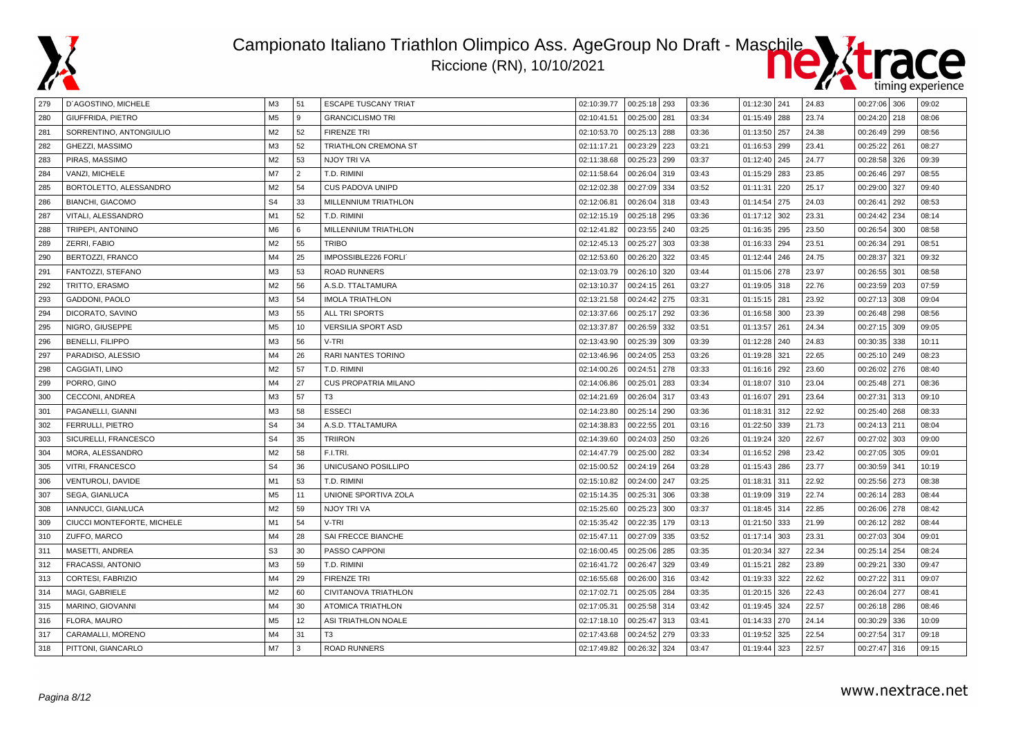

#### Campionato Italiano Triathlon Olimpico Ass. AgeGroup No Draft - Maschile Riccione (RN), 10/10/2021



| 279 | D'AGOSTINO, MICHELE        | ΜЗ             | 51             | <b>ESCAPE TUSCANY TRIAT</b> | 02:10:39.77 | 00:25:18   293 |     | 03:36 | 01:12:30 241 |     | 24.83 | 00:27:06 306   |     | 09:02 |
|-----|----------------------------|----------------|----------------|-----------------------------|-------------|----------------|-----|-------|--------------|-----|-------|----------------|-----|-------|
| 280 | GIUFFRIDA, PIETRO          | M <sub>5</sub> | 9              | <b>GRANCICLISMO TRI</b>     | 02:10:41.51 | 00:25:00       | 281 | 03:34 | 01:15:49 288 |     | 23.74 | 00:24:20 218   |     | 08:06 |
| 281 | SORRENTINO, ANTONGIULIO    | M <sub>2</sub> | 52             | <b>FIRENZE TRI</b>          | 02:10:53.70 | 00:25:13       | 288 | 03:36 | 01:13:50 257 |     | 24.38 | 00:26:49   299 |     | 08:56 |
| 282 | GHEZZI, MASSIMO            | M <sub>3</sub> | 52             | TRIATHLON CREMONA ST        | 02:11:17.21 | 00:23:29       | 223 | 03:21 | 01:16:53 299 |     | 23.41 | 00:25:22       | 261 | 08:27 |
| 283 | PIRAS, MASSIMO             | M <sub>2</sub> | 53             | NJOY TRI VA                 | 02:11:38.68 | 00:25:23       | 299 | 03:37 | 01:12:40 245 |     | 24.77 | 00:28:58 326   |     | 09:39 |
| 284 | VANZI, MICHELE             | M7             | $\overline{2}$ | T.D. RIMINI                 | 02:11:58.64 | 00:26:04       | 319 | 03:43 | 01:15:29 283 |     | 23.85 | 00:26:46   297 |     | 08:55 |
| 285 | BORTOLETTO, ALESSANDRO     | M <sub>2</sub> | 54             | <b>CUS PADOVA UNIPD</b>     | 02:12:02.38 | 00:27:09       | 334 | 03:52 | 01:11:31 220 |     | 25.17 | 00:29:00       | 327 | 09:40 |
| 286 | <b>BIANCHI, GIACOMO</b>    | S <sub>4</sub> | 33             | MILLENNIUM TRIATHLON        | 02:12:06.81 | 00:26:04       | 318 | 03:43 | 01:14:54 275 |     | 24.03 | 00:26:41       | 292 | 08:53 |
| 287 | VITALI, ALESSANDRO         | M1             | 52             | T.D. RIMINI                 | 02:12:15.19 | 00:25:18       | 295 | 03:36 | 01:17:12 302 |     | 23.31 | 00:24:42       | 234 | 08:14 |
| 288 | TRIPEPI, ANTONINO          | M <sub>6</sub> | 6              | MILLENNIUM TRIATHLON        | 02:12:41.82 | 00:23:55       | 240 | 03:25 | 01:16:35 295 |     | 23.50 | 00:26:54       | 300 | 08:58 |
| 289 | ZERRI, FABIO               | M <sub>2</sub> | 55             | <b>TRIBO</b>                | 02:12:45.13 | 00:25:27       | 303 | 03:38 | 01:16:33     | 294 | 23.51 | 00:26:34       | 291 | 08:51 |
| 290 | BERTOZZI, FRANCO           | M4             | 25             | IMPOSSIBLE226 FORLI         | 02:12:53.60 | 00:26:20       | 322 | 03:45 | 01:12:44 246 |     | 24.75 | 00:28:37       | 321 | 09:32 |
| 291 | FANTOZZI, STEFANO          | M <sub>3</sub> | 53             | <b>ROAD RUNNERS</b>         | 02:13:03.79 | 00:26:10       | 320 | 03:44 | 01:15:06 278 |     | 23.97 | 00:26:55 301   |     | 08:58 |
| 292 | TRITTO, ERASMO             | M <sub>2</sub> | 56             | A.S.D. TTALTAMURA           | 02:13:10.37 | 00:24:15       | 261 | 03:27 | 01:19:05 318 |     | 22.76 | 00:23:59   203 |     | 07:59 |
| 293 | GADDONI, PAOLO             | M <sub>3</sub> | 54             | <b>IMOLA TRIATHLON</b>      | 02:13:21.58 | 00:24:42       | 275 | 03:31 | 01:15:15 281 |     | 23.92 | 00:27:13 308   |     | 09:04 |
| 294 | DICORATO, SAVINO           | M <sub>3</sub> | 55             | ALL TRI SPORTS              | 02:13:37.66 | 00:25:17       | 292 | 03:36 | 01:16:58 300 |     | 23.39 | 00:26:48   298 |     | 08:56 |
| 295 | NIGRO, GIUSEPPE            | M <sub>5</sub> | 10             | <b>VERSILIA SPORT ASD</b>   | 02:13:37.87 | 00:26:59       | 332 | 03:51 | 01:13:57 261 |     | 24.34 | 00:27:15 309   |     | 09:05 |
| 296 | <b>BENELLI, FILIPPO</b>    | M <sub>3</sub> | 56             | V-TRI                       | 02:13:43.90 | 00:25:39       | 309 | 03:39 | 01:12:28 240 |     | 24.83 | 00:30:35       | 338 | 10:11 |
| 297 | PARADISO, ALESSIO          | M4             | 26             | RARI NANTES TORINO          | 02:13:46.96 | 00:24:05       | 253 | 03:26 | 01:19:28     | 321 | 22.65 | 00:25:10       | 249 | 08:23 |
| 298 | CAGGIATI, LINO             | M <sub>2</sub> | 57             | T.D. RIMINI                 | 02:14:00.26 | 00:24:51       | 278 | 03:33 | 01:16:16     | 292 | 23.60 | 00:26:02       | 276 | 08:40 |
| 299 | PORRO, GINO                | M <sub>4</sub> | 27             | <b>CUS PROPATRIA MILANO</b> | 02:14:06.86 | 00:25:01       | 283 | 03:34 | 01:18:07 310 |     | 23.04 | 00:25:48   271 |     | 08:36 |
| 300 | CECCONI, ANDREA            | M <sub>3</sub> | 57             | T <sub>3</sub>              | 02:14:21.69 | 00:26:04       | 317 | 03:43 | 01:16:07 291 |     | 23.64 | 00:27:31       | 313 | 09:10 |
| 301 | PAGANELLI, GIANNI          | M <sub>3</sub> | 58             | <b>ESSECI</b>               | 02:14:23.80 | 00:25:14       | 290 | 03:36 | 01:18:31     | 312 | 22.92 | 00:25:40       | 268 | 08:33 |
| 302 | FERRULLI, PIETRO           | S <sub>4</sub> | 34             | A.S.D. TTALTAMURA           | 02:14:38.83 | 00:22:55       | 201 | 03:16 | 01:22:50 339 |     | 21.73 | 00:24:13 211   |     | 08:04 |
| 303 | SICURELLI, FRANCESCO       | S <sub>4</sub> | 35             | <b>TRIIRON</b>              | 02:14:39.60 | 00:24:03       | 250 | 03:26 | 01:19:24 320 |     | 22.67 | 00:27:02 303   |     | 09:00 |
| 304 | MORA, ALESSANDRO           | M <sub>2</sub> | 58             | F.I.TRI.                    | 02:14:47.79 | 00:25:00       | 282 | 03:34 | 01:16:52 298 |     | 23.42 | 00:27:05 305   |     | 09:01 |
| 305 | VITRI, FRANCESCO           | S <sub>4</sub> | 36             | UNICUSANO POSILLIPO         | 02:15:00.52 | 00:24:19       | 264 | 03:28 | 01:15:43     | 286 | 23.77 | 00:30:59       | 341 | 10:19 |
| 306 | VENTUROLI, DAVIDE          | M1             | 53             | T.D. RIMINI                 | 02:15:10.82 | 00:24:00       | 247 | 03:25 | 01:18:31     | 311 | 22.92 | 00:25:56   273 |     | 08:38 |
| 307 | SEGA, GIANLUCA             | M <sub>5</sub> | 11             | UNIONE SPORTIVA ZOLA        | 02:15:14.35 | 00:25:31       | 306 | 03:38 | 01:19:09 319 |     | 22.74 | 00:26:14       | 283 | 08:44 |
| 308 | IANNUCCI, GIANLUCA         | M <sub>2</sub> | 59             | NJOY TRI VA                 | 02:15:25.60 | 00:25:23       | 300 | 03:37 | 01:18:45 314 |     | 22.85 | 00:26:06   278 |     | 08:42 |
| 309 | CIUCCI MONTEFORTE, MICHELE | M1             | 54             | V-TRI                       | 02:15:35.42 | 00:22:35       | 179 | 03:13 | 01:21:50 333 |     | 21.99 | 00:26:12       | 282 | 08:44 |
| 310 | ZUFFO, MARCO               | M <sub>4</sub> | 28             | SAI FRECCE BIANCHE          | 02:15:47.11 | 00:27:09       | 335 | 03:52 | 01:17:14 303 |     | 23.31 | 00:27:03 304   |     | 09:01 |
| 311 | MASETTI, ANDREA            | S <sub>3</sub> | 30             | PASSO CAPPONI               | 02:16:00.45 | 00:25:06       | 285 | 03:35 | 01:20:34 327 |     | 22.34 | 00:25:14       | 254 | 08:24 |
| 312 | FRACASSI, ANTONIO          | M <sub>3</sub> | 59             | T.D. RIMINI                 | 02:16:41.72 | 00:26:47       | 329 | 03:49 | 01:15:21     | 282 | 23.89 | 00:29:21       | 330 | 09:47 |
| 313 | CORTESI, FABRIZIO          | M <sub>4</sub> | 29             | <b>FIRENZE TRI</b>          | 02:16:55.68 | 00:26:00       | 316 | 03:42 | 01:19:33     | 322 | 22.62 | 00:27:22       | 311 | 09:07 |
| 314 | MAGI, GABRIELE             | M <sub>2</sub> | 60             | CIVITANOVA TRIATHLON        | 02:17:02.71 | 00:25:05       | 284 | 03:35 | 01:20:15     | 326 | 22.43 | 00:26:04       | 277 | 08:41 |
| 315 | MARINO, GIOVANNI           | M4             | 30             | <b>ATOMICA TRIATHLON</b>    | 02:17:05.31 | 00:25:58       | 314 | 03:42 | 01:19:45 324 |     | 22.57 | 00:26:18   286 |     | 08:46 |
| 316 | FLORA, MAURO               | M <sub>5</sub> | 12             | ASI TRIATHLON NOALE         | 02:17:18.10 | 00:25:47       | 313 | 03:41 | 01:14:33 270 |     | 24.14 | 00:30:29 336   |     | 10:09 |
| 317 | CARAMALLI, MORENO          | M4             | 31             | T <sub>3</sub>              | 02:17:43.68 | 00:24:52       | 279 | 03:33 | 01:19:52     | 325 | 22.54 | 00:27:54       | 317 | 09:18 |
| 318 | PITTONI, GIANCARLO         | M7             | 3              | <b>ROAD RUNNERS</b>         | 02:17:49.82 | 00:26:32       | 324 | 03:47 | 01:19:44 323 |     | 22.57 | 00:27:47 316   |     | 09:15 |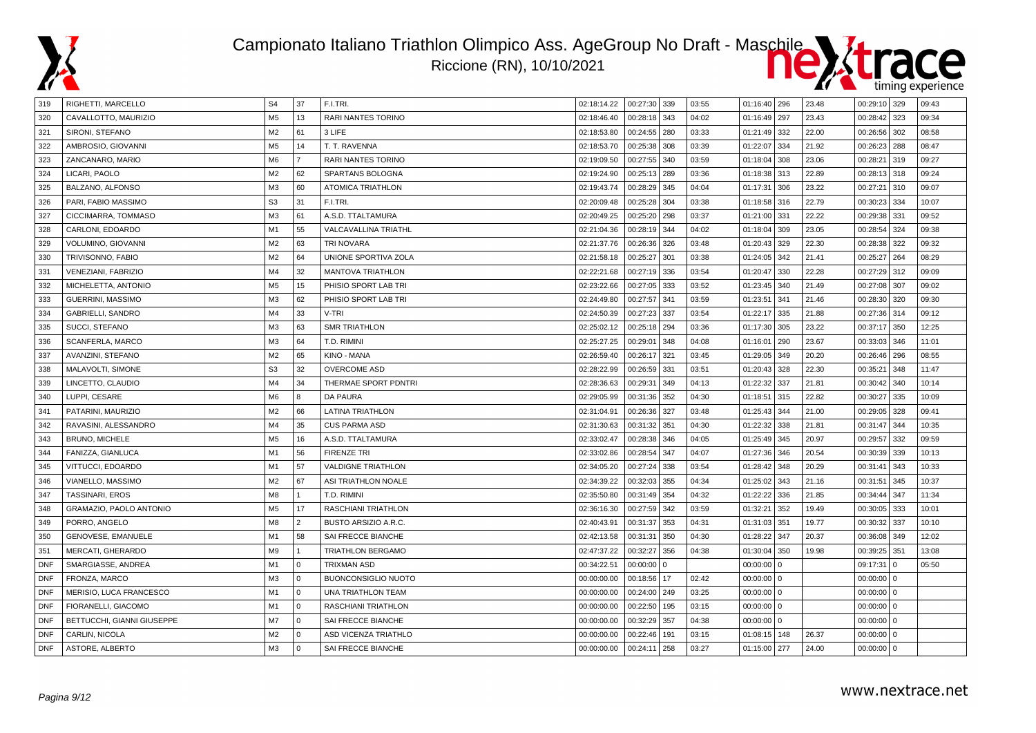



| 319        | RIGHETTI, MARCELLO             | S <sub>4</sub> | 37             | F.I.TRI.                   | 02:18:14.22 | 00:27:30 339 |     | 03:55 | 01:16:40 296 |     | 23.48 | 00:29:10 329   |     | 09:43 |
|------------|--------------------------------|----------------|----------------|----------------------------|-------------|--------------|-----|-------|--------------|-----|-------|----------------|-----|-------|
| 320        | CAVALLOTTO, MAURIZIO           | M <sub>5</sub> | 13             | <b>RARI NANTES TORINO</b>  | 02:18:46.40 | 00:28:18     | 343 | 04:02 | 01:16:49     | 297 | 23.43 | 00:28:42       | 323 | 09:34 |
| 321        | SIRONI, STEFANO                | M <sub>2</sub> | 61             | 3 LIFE                     | 02:18:53.80 | 00:24:55     | 280 | 03:33 | 01:21:49     | 332 | 22.00 | 00:26:56 302   |     | 08:58 |
| 322        | AMBROSIO, GIOVANNI             | M <sub>5</sub> | 14             | T. T. RAVENNA              | 02:18:53.70 | 00:25:38     | 308 | 03:39 | 01:22:07     | 334 | 21.92 | $00:26:23$ 288 |     | 08:47 |
| 323        | ZANCANARO, MARIO               | M <sub>6</sub> | $\overline{7}$ | RARI NANTES TORINO         | 02:19:09.50 | 00:27:55     | 340 | 03:59 | 01:18:04     | 308 | 23.06 | 00:28:21       | 319 | 09:27 |
| 324        | LICARI, PAOLO                  | M <sub>2</sub> | 62             | <b>SPARTANS BOLOGNA</b>    | 02:19:24.90 | 00:25:13 289 |     | 03:36 | 01:18:38     | 313 | 22.89 | $00:28:13$ 318 |     | 09:24 |
| 325        | BALZANO, ALFONSO               | M <sub>3</sub> | 60             | <b>ATOMICA TRIATHLON</b>   | 02:19:43.74 | 00:28:29     | 345 | 04:04 | 01:17:31     | 306 | 23.22 | 00:27:21       | 310 | 09:07 |
| 326        | PARI, FABIO MASSIMO            | S <sub>3</sub> | 31             | F.I.TRI.                   | 02:20:09.48 | 00:25:28     | 304 | 03:38 | 01:18:58 316 |     | 22.79 | 00:30:23 334   |     | 10:07 |
| 327        | CICCIMARRA, TOMMASO            | M <sub>3</sub> | 61             | A.S.D. TTALTAMURA          | 02:20:49.25 | 00:25:20     | 298 | 03:37 | 01:21:00     | 331 | 22.22 | 00:29:38 331   |     | 09:52 |
| 328        | CARLONI, EDOARDO               | M1             | 55             | VALCAVALLINA TRIATHL       | 02:21:04.36 | 00:28:19     | 344 | 04:02 | 01:18:04     | 309 | 23.05 | 00:28:54       | 324 | 09:38 |
| 329        | VOLUMINO, GIOVANNI             | M <sub>2</sub> | 63             | <b>TRI NOVARA</b>          | 02:21:37.76 | 00:26:36     | 326 | 03:48 | 01:20:43     | 329 | 22.30 | 00:28:38       | 322 | 09:32 |
| 330        | TRIVISONNO, FABIO              | M <sub>2</sub> | 64             | UNIONE SPORTIVA ZOLA       | 02:21:58.18 | 00:25:27     | 301 | 03:38 | 01:24:05     | 342 | 21.41 | 00:25:27       | 264 | 08:29 |
| 331        | <b>VENEZIANI, FABRIZIO</b>     | M <sub>4</sub> | 32             | <b>MANTOVA TRIATHLON</b>   | 02:22:21.68 | 00:27:19     | 336 | 03:54 | 01:20:47     | 330 | 22.28 | 00:27:29 312   |     | 09:09 |
| 332        | MICHELETTA, ANTONIO            | M <sub>5</sub> | 15             | PHISIO SPORT LAB TRI       | 02:23:22.66 | 00:27:05     | 333 | 03:52 | 01:23:45     | 340 | 21.49 | 00:27:08 307   |     | 09:02 |
| 333        | GUERRINI, MASSIMO              | M <sub>3</sub> | 62             | PHISIO SPORT LAB TRI       | 02:24:49.80 | 00:27:57     | 341 | 03:59 | 01:23:51     | 341 | 21.46 | 00:28:30 320   |     | 09:30 |
| 334        | GABRIELLI, SANDRO              | M4             | 33             | V-TRI                      | 02:24:50.39 | 00:27:23     | 337 | 03:54 | 01:22:17     | 335 | 21.88 | 00:27:36 314   |     | 09:12 |
| 335        | SUCCI, STEFANO                 | M3             | 63             | <b>SMR TRIATHLON</b>       | 02:25:02.12 | 00:25:18 294 |     | 03:36 | 01:17:30     | 305 | 23.22 | 00:37:17 350   |     | 12:25 |
| 336        | SCANFERLA, MARCO               | M <sub>3</sub> | 64             | T.D. RIMINI                | 02:25:27.25 | 00:29:01     | 348 | 04:08 | 01:16:01     | 290 | 23.67 | 00:33:03       | 346 | 11:01 |
| 337        | AVANZINI, STEFANO              | M <sub>2</sub> | 65             | <b>KINO - MANA</b>         | 02:26:59.40 | 00:26:17     | 321 | 03:45 | 01:29:05     | 349 | 20.20 | 00:26:46   296 |     | 08:55 |
| 338        | MALAVOLTI, SIMONE              | S <sub>3</sub> | 32             | <b>OVERCOME ASD</b>        | 02:28:22.99 | 00:26:59     | 331 | 03:51 | 01:20:43     | 328 | 22.30 | 00:35:21       | 348 | 11:47 |
| 339        | LINCETTO, CLAUDIO              | M4             | 34             | THERMAE SPORT PDNTRI       | 02:28:36.63 | 00:29:31     | 349 | 04:13 | 01:22:32     | 337 | 21.81 | 00:30:42       | 340 | 10:14 |
| 340        | LUPPI, CESARE                  | M <sub>6</sub> | 8              | DA PAURA                   | 02:29:05.99 | 00:31:36     | 352 | 04:30 | 01:18:51     | 315 | 22.82 | 00:30:27       | 335 | 10:09 |
| 341        | PATARINI, MAURIZIO             | M <sub>2</sub> | 66             | <b>LATINA TRIATHLON</b>    | 02:31:04.91 | 00:26:36     | 327 | 03:48 | 01:25:43     | 344 | 21.00 | 00:29:05       | 328 | 09:41 |
| 342        | RAVASINI, ALESSANDRO           | M4             | 35             | <b>CUS PARMA ASD</b>       | 02:31:30.63 | 00:31:32     | 351 | 04:30 | 01:22:32     | 338 | 21.81 | 00:31:47       | 344 | 10:35 |
| 343        | <b>BRUNO, MICHELE</b>          | M <sub>5</sub> | 16             | A.S.D. TTALTAMURA          | 02:33:02.47 | 00:28:38 346 |     | 04:05 | 01:25:49 345 |     | 20.97 | 00:29:57       | 332 | 09:59 |
| 344        | FANIZZA, GIANLUCA              | M1             | 56             | <b>FIRENZE TRI</b>         | 02:33:02.86 | 00:28:54     | 347 | 04:07 | 01:27:36     | 346 | 20.54 | 00:30:39       | 339 | 10:13 |
| 345        | VITTUCCI, EDOARDO              | M1             | 57             | <b>VALDIGNE TRIATHLON</b>  | 02:34:05.20 | 00:27:24     | 338 | 03:54 | 01:28:42     | 348 | 20.29 | 00:31:41       | 343 | 10:33 |
| 346        | VIANELLO, MASSIMO              | M <sub>2</sub> | 67             | ASI TRIATHLON NOALE        | 02:34:39.22 | 00:32:03     | 355 | 04:34 | 01:25:02     | 343 | 21.16 | 00:31:51       | 345 | 10:37 |
| 347        | TASSINARI, EROS                | M8             | $\mathbf{1}$   | T.D. RIMINI                | 02:35:50.80 | 00:31:49     | 354 | 04:32 | 01:22:22     | 336 | 21.85 | 00:34:44       | 347 | 11:34 |
| 348        | <b>GRAMAZIO, PAOLO ANTONIO</b> | M <sub>5</sub> | 17             | RASCHIANI TRIATHLON        | 02:36:16.30 | 00:27:59 342 |     | 03:59 | 01:32:21     | 352 | 19.49 | $00:30:05$ 333 |     | 10:01 |
| 349        | PORRO, ANGELO                  | M8             | $\overline{2}$ | BUSTO ARSIZIO A.R.C.       | 02:40:43.91 | 00:31:37     | 353 | 04:31 | 01:31:03     | 351 | 19.77 | 00:30:32       | 337 | 10:10 |
| 350        | GENOVESE, EMANUELE             | M1             | 58             | SAI FRECCE BIANCHE         | 02:42:13.58 | 00:31:31     | 350 | 04:30 | 01:28:22     | 347 | 20.37 | 00:36:08       | 349 | 12:02 |
| 351        | MERCATI, GHERARDO              | M <sub>9</sub> | $\mathbf{1}$   | <b>TRIATHLON BERGAMO</b>   | 02:47:37.22 | 00:32:27     | 356 | 04:38 | 01:30:04     | 350 | 19.98 | 00:39:25 351   |     | 13:08 |
| <b>DNF</b> | SMARGIASSE, ANDREA             | M1             | $\mathbf 0$    | <b>TRIXMAN ASD</b>         | 00:34:22.51 | $00:00:00$ 0 |     |       | $00:00:00$ 0 |     |       | 09:17:31       | 0   | 05:50 |
| <b>DNF</b> | FRONZA, MARCO                  | M <sub>3</sub> | $\Omega$       | <b>BUONCONSIGLIO NUOTO</b> | 00:00:00.00 | 00:18:56 17  |     | 02:42 | $00:00:00$ 0 |     |       | $00:00:00$ 0   |     |       |
| <b>DNF</b> | MERISIO, LUCA FRANCESCO        | M1             | $\Omega$       | UNA TRIATHLON TEAM         | 00:00:00.00 | 00:24:00     | 249 | 03:25 | $00:00:00$ 0 |     |       | $00:00:00$ 0   |     |       |
| <b>DNF</b> | FIORANELLI, GIACOMO            | M1             | $\mathbf 0$    | RASCHIANI TRIATHLON        | 00:00:00.00 | 00:22:50     | 195 | 03:15 | $00:00:00$ 0 |     |       | $00:00:00$ 0   |     |       |
| <b>DNF</b> | BETTUCCHI, GIANNI GIUSEPPE     | M7             | $\Omega$       | SAI FRECCE BIANCHE         | 00:00:00.00 | 00:32:29     | 357 | 04:38 | $00:00:00$ 0 |     |       | $00:00:00$ 0   |     |       |
| <b>DNF</b> | CARLIN, NICOLA                 | M <sub>2</sub> | $\Omega$       | ASD VICENZA TRIATHLO       | 00:00:00.00 | 00:22:46     | 191 | 03:15 | 01:08:15     | 148 | 26.37 | $00:00:00$ 0   |     |       |
| <b>DNF</b> | ASTORE, ALBERTO                | M <sub>3</sub> | $\Omega$       | SAI FRECCE BIANCHE         | 00:00:00.00 | 00:24:11     | 258 | 03:27 | 01:15:00 277 |     | 24.00 | $00:00:00$ 0   |     |       |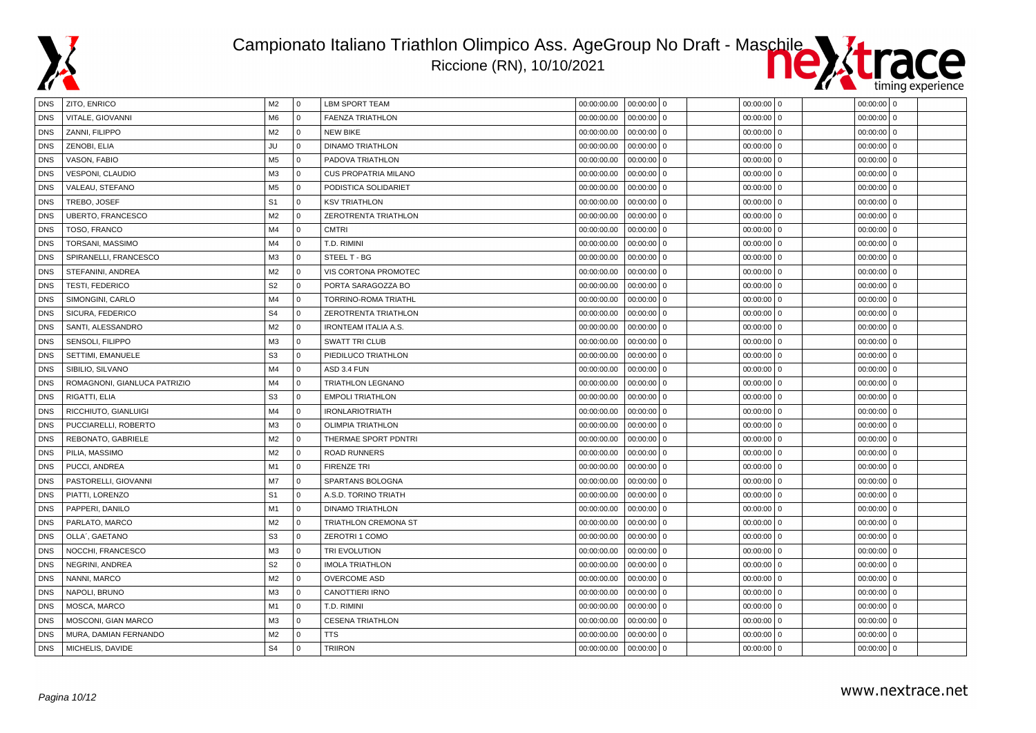



| DNS        | ZITO, ENRICO                 | M2             | 0              | LBM SPORT TEAM              |             | $00:00:00.00$   00:00:00   0 | 00:00:00 0   | $00:00:00$ 0             |  |
|------------|------------------------------|----------------|----------------|-----------------------------|-------------|------------------------------|--------------|--------------------------|--|
| <b>DNS</b> | VITALE, GIOVANNI             | M <sub>6</sub> | $\overline{0}$ | <b>FAENZA TRIATHLON</b>     | 00:00:00.00 | 00:00:00<br>$\overline{0}$   | $00:00:00$ 0 | 00:00:00<br>$\mathbf 0$  |  |
| <b>DNS</b> | ZANNI, FILIPPO               | M2             | l 0            | <b>NEW BIKE</b>             | 00:00:00.00 | 00:00:00<br>$\mathbf 0$      | $00:00:00$ 0 | $00:00:00$ 0             |  |
| <b>DNS</b> | ZENOBI, ELIA                 | JU             | l 0            | <b>DINAMO TRIATHLON</b>     | 00:00:00.00 | $00:00:00$ 0                 | $00:00:00$ 0 | $00:00:00$ 0             |  |
| <b>DNS</b> | VASON, FABIO                 | M <sub>5</sub> | l 0            | PADOVA TRIATHLON            | 00:00:00.00 | 00:00:00<br>$\mathbf 0$      | $00:00:00$ 0 | $00:00:00$ 0             |  |
| <b>DNS</b> | VESPONI, CLAUDIO             | M3             | $\overline{0}$ | <b>CUS PROPATRIA MILANO</b> | 00:00:00.00 | 00:00:00<br>$\overline{0}$   | $00:00:00$ 0 | l o<br>00:00:00          |  |
| <b>DNS</b> | VALEAU, STEFANO              | M <sub>5</sub> | l 0            | PODISTICA SOLIDARIET        | 00:00:00.00 | 00:00:00<br>0                | $00:00:00$ 0 | $00:00:00$ 0             |  |
| <b>DNS</b> | TREBO, JOSEF                 | S <sub>1</sub> | l 0            | <b>KSV TRIATHLON</b>        | 00:00:00.00 | $00:00:00$ 0                 | $00:00:00$ 0 | $00:00:00$ 0             |  |
| <b>DNS</b> | <b>UBERTO, FRANCESCO</b>     | M <sub>2</sub> | $\overline{0}$ | ZEROTRENTA TRIATHLON        | 00:00:00.00 | 00:00:00<br>$\overline{0}$   | $00:00:00$ 0 | 00:00:00<br>l o          |  |
| <b>DNS</b> | TOSO, FRANCO                 | M4             | $\Omega$       | <b>CMTRI</b>                | 00:00:00.00 | $00:00:00$ 0                 | $00:00:00$ 0 | I٥<br>00:00:00           |  |
| <b>DNS</b> | TORSANI, MASSIMO             | M4             | $\overline{0}$ | T.D. RIMINI                 | 00:00:00.00 | 00:00:00<br>0                | $00:00:00$ 0 | $00:00:00$ 0             |  |
| <b>DNS</b> | SPIRANELLI, FRANCESCO        | M3             | l 0            | STEEL T - BG                | 00:00:00.00 | $00:00:00$ 0                 | $00:00:00$ 0 | $00:00:00$ 0             |  |
| <b>DNS</b> | STEFANINI, ANDREA            | M2             | l 0            | VIS CORTONA PROMOTEC        | 00:00:00.00 | $00:00:00$ 0                 | $00:00:00$ 0 | $00:00:00$ 0             |  |
| <b>DNS</b> | <b>TESTI, FEDERICO</b>       | S <sub>2</sub> | $\Omega$       | PORTA SARAGOZZA BO          | 00:00:00.00 | $00:00:00$ 0                 | $00:00:00$ 0 | $00:00:00$ 0             |  |
| <b>DNS</b> | SIMONGINI, CARLO             | M4             | $\overline{0}$ | TORRINO-ROMA TRIATHL        | 00:00:00.00 | 00:00:00<br>$\mathbf 0$      | $00:00:00$ 0 | $00:00:00$ 0             |  |
| <b>DNS</b> | SICURA, FEDERICO             | S <sub>4</sub> | $\overline{0}$ | ZEROTRENTA TRIATHLON        | 00:00:00.00 | $00:00:00$ 0                 | $00:00:00$ 0 | $00:00:00$ 0             |  |
| <b>DNS</b> | SANTI, ALESSANDRO            | M2             | $\overline{0}$ | <b>IRONTEAM ITALIA A.S.</b> | 00:00:00.00 | $00:00:00$ 0                 | $00:00:00$ 0 | 00:00:00<br>0            |  |
| <b>DNS</b> | SENSOLI, FILIPPO             | M <sub>3</sub> | $\Omega$       | <b>SWATT TRI CLUB</b>       | 00:00:00.00 | 00:00:00<br>$\overline{0}$   | 00:00:00 0   | 00:00:00<br>l o          |  |
| <b>DNS</b> | SETTIMI, EMANUELE            | S <sub>3</sub> | $\overline{0}$ | PIEDILUCO TRIATHLON         | 00:00:00.00 | 00:00:00<br>$\mathbf 0$      | $00:00:00$ 0 | 00:00:00<br>l o          |  |
| <b>DNS</b> | SIBILIO, SILVANO             | M4             | l o            | ASD 3.4 FUN                 | 00:00:00.00 | $00:00:00$ 0                 | $00:00:00$ 0 | $00:00:00$ 0             |  |
| <b>DNS</b> | ROMAGNONI, GIANLUCA PATRIZIO | M4             | l 0            | <b>TRIATHLON LEGNANO</b>    | 00:00:00.00 | 00:00:00<br>$\overline{0}$   | $00:00:00$ 0 | $00:00:00$ 0             |  |
| <b>DNS</b> | RIGATTI, ELIA                | S <sub>3</sub> | $\Omega$       | <b>EMPOLI TRIATHLON</b>     | 00:00:00.00 | $00:00:00$ 0                 | $00:00:00$ 0 | $00:00:00$ 0             |  |
| <b>DNS</b> | RICCHIUTO, GIANLUIGI         | M4             | l 0            | <b>IRONLARIOTRIATH</b>      | 00:00:00.00 | 00:00:00<br>$\mathbf 0$      | $00:00:00$ 0 | 00:00:00<br>l o          |  |
| <b>DNS</b> | PUCCIARELLI, ROBERTO         | M <sub>3</sub> | l o            | <b>OLIMPIA TRIATHLON</b>    | 00:00:00.00 | $00:00:00$ 0                 | $00:00:00$ 0 | $00:00:00$ 0             |  |
| <b>DNS</b> | REBONATO, GABRIELE           | M <sub>2</sub> | $\Omega$       | THERMAE SPORT PDNTRI        | 00:00:00.00 | $00:00:00$ 0                 | $00:00:00$ 0 | $00:00:00$ 0             |  |
| <b>DNS</b> | PILIA, MASSIMO               | M2             | $\overline{0}$ | <b>ROAD RUNNERS</b>         | 00:00:00.00 | $00:00:00$ 0                 | 00:00:00 0   | l o<br>00:00:00          |  |
| <b>DNS</b> | PUCCI, ANDREA                | M1             | $\overline{0}$ | <b>FIRENZE TRI</b>          | 00:00:00.00 | 00:00:00<br>$\mathbf 0$      | $00:00:00$ 0 | 00:00:00<br>$\mathbf 0$  |  |
| <b>DNS</b> | PASTORELLI, GIOVANNI         | M7             | l 0            | SPARTANS BOLOGNA            | 00:00:00.00 | $00:00:00$ 0                 | $00:00:00$ 0 | $00:00:00$ 0             |  |
| <b>DNS</b> | PIATTI, LORENZO              | S <sub>1</sub> | l 0            | A.S.D. TORINO TRIATH        | 00:00:00.00 | $00:00:00$ 0                 | $00:00:00$ 0 | $00:00:00$ 0             |  |
| <b>DNS</b> | PAPPERI, DANILO              | M1             | l o            | <b>DINAMO TRIATHLON</b>     | 00:00:00.00 | $00:00:00$ 0                 | $00:00:00$ 0 | $00:00:00$ 0             |  |
| <b>DNS</b> | PARLATO, MARCO               | M2             | 0              | TRIATHLON CREMONA ST        | 00:00:00.00 | 00:00:00<br>$\overline{0}$   | $00:00:00$ 0 | 00:00:00<br>l o          |  |
| <b>DNS</b> | OLLA', GAETANO               | S <sub>3</sub> | l 0            | <b>ZEROTRI 1 COMO</b>       | 00:00:00.00 | $00:00:00$ 0                 | $00:00:00$ 0 | $00:00:00$ 0             |  |
| <b>DNS</b> | NOCCHI, FRANCESCO            | M <sub>3</sub> | l 0            | TRI EVOLUTION               | 00:00:00.00 | $00:00:00$ 0                 | $00:00:00$ 0 | $00:00:00$ 0             |  |
| <b>DNS</b> | NEGRINI, ANDREA              | S <sub>2</sub> | $\overline{0}$ | <b>IMOLA TRIATHLON</b>      | 00:00:00.00 | 00:00:00<br>$\mathbf 0$      | $00:00:00$ 0 | 00:00:00<br>$\mathbf{0}$ |  |
| <b>DNS</b> | NANNI, MARCO                 | M <sub>2</sub> | $\overline{0}$ | <b>OVERCOME ASD</b>         | 00:00:00.00 | 00:00:00<br>$\mathbf 0$      | $00:00:00$ 0 | 00:00:00<br>$\mathbf 0$  |  |
| <b>DNS</b> | NAPOLI, BRUNO                | M3             | l 0            | CANOTTIERI IRNO             | 00:00:00.00 | 00:00:00<br>$\overline{0}$   | $00:00:00$ 0 | $00:00:00$ 0             |  |
| <b>DNS</b> | MOSCA, MARCO                 | M <sub>1</sub> | l 0            | T.D. RIMINI                 | 00:00:00.00 | $00:00:00$ 0                 | $00:00:00$ 0 | $00:00:00$ 0             |  |
| <b>DNS</b> | MOSCONI, GIAN MARCO          | M3             | l 0            | <b>CESENA TRIATHLON</b>     | 00:00:00.00 | $00:00:00$ 0                 | $00:00:00$ 0 | $00:00:00$ 0             |  |
| <b>DNS</b> | MURA, DAMIAN FERNANDO        | M <sub>2</sub> | $\overline{0}$ | <b>TTS</b>                  | 00:00:00.00 | $00:00:00$ 0                 | $00:00:00$ 0 | l o<br>00:00:00          |  |
| <b>DNS</b> | MICHELIS, DAVIDE             | S <sub>4</sub> | $\Omega$       | <b>TRIIRON</b>              | 00:00:00.00 | $00:00:00$ 0                 | $00:00:00$ 0 | $00:00:00$ 0             |  |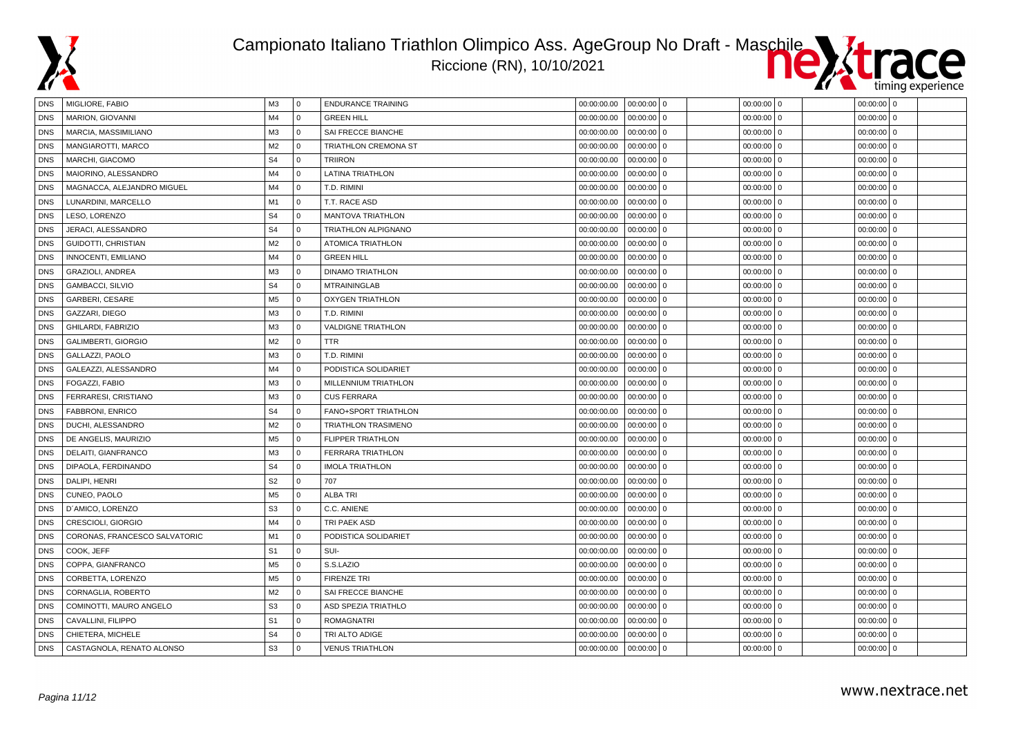

#### Campionato Italiano Triathlon Olimpico Ass. AgeGroup No Draft - Maschile Riccione (RN), 10/10/2021



| DNS        | MIGLIORE, FABIO               | M <sub>3</sub> | <b>0</b>     | <b>ENDURANCE TRAINING</b>  | 00:00:00.00 | $00:00:00$ 0               | 00:00:00 0               | $00:00:00$ 0 |
|------------|-------------------------------|----------------|--------------|----------------------------|-------------|----------------------------|--------------------------|--------------|
| <b>DNS</b> | <b>MARION, GIOVANNI</b>       | M <sub>4</sub> | $\mathbf{0}$ | <b>GREEN HILL</b>          | 00:00:00.00 | $00:00:00$ 0               | 00:00:00<br>$\mathbf 0$  | $00:00:00$ 0 |
| <b>DNS</b> | MARCIA, MASSIMILIANO          | M <sub>3</sub> | $\mathbf{0}$ | SAI FRECCE BIANCHE         | 00:00:00.00 | $00:00:00$ 0               | 00:00:00<br>$\mathbf{0}$ | $00:00:00$ 0 |
| <b>DNS</b> | MANGIAROTTI, MARCO            | M <sub>2</sub> | $\mathbf 0$  | TRIATHLON CREMONA ST       | 00:00:00.00 | $00:00:00$ 0               | 00:00:00<br>$\mathbf 0$  | $00:00:00$ 0 |
| <b>DNS</b> | MARCHI, GIACOMO               | S <sub>4</sub> | $\Omega$     | <b>TRIIRON</b>             | 00:00:00.00 | $00:00:00$ 0               | 00:00:00                 | $00:00:00$ 0 |
| <b>DNS</b> | MAIORINO, ALESSANDRO          | M <sub>4</sub> | $\Omega$     | LATINA TRIATHLON           | 00:00:00.00 | 00:00:00<br>$\overline{0}$ | 00:00:00<br>$\Omega$     | $00:00:00$ 0 |
| <b>DNS</b> | MAGNACCA, ALEJANDRO MIGUEL    | M4             | $\mathbf{0}$ | T.D. RIMINI                | 00:00:00.00 | $00:00:00$ 0               | 00:00:00<br>$\mathbf{0}$ | $00:00:00$ 0 |
| <b>DNS</b> | LUNARDINI, MARCELLO           | M1             | $\mathbf{0}$ | T.T. RACE ASD              | 00:00:00.00 | $00:00:00$ 0               | 00:00:00<br>$\mathbf 0$  | $00:00:00$ 0 |
| <b>DNS</b> | LESO, LORENZO                 | S <sub>4</sub> | $\mathbf 0$  | <b>MANTOVA TRIATHLON</b>   | 00:00:00.00 | $00:00:00$ 0               | 00:00:00<br>$\Omega$     | $00:00:00$ 0 |
| <b>DNS</b> | JERACI, ALESSANDRO            | S <sub>4</sub> | $\mathbf{0}$ | TRIATHLON ALPIGNANO        | 00:00:00.00 | $00:00:00$ 0               | 00:00:00<br>$\mathbf 0$  | $00:00:00$ 0 |
| <b>DNS</b> | GUIDOTTI, CHRISTIAN           | M <sub>2</sub> | $\mathbf{0}$ | <b>ATOMICA TRIATHLON</b>   | 00:00:00.00 | $00:00:00$ 0               | $\mathbf{0}$<br>00:00:00 | $00:00:00$ 0 |
| <b>DNS</b> | INNOCENTI, EMILIANO           | M <sub>4</sub> | $\mathbf{0}$ | <b>GREEN HILL</b>          | 00:00:00.00 | $00:00:00$ 0               | 00:00:00<br>$\Omega$     | $00:00:00$ 0 |
| <b>DNS</b> | GRAZIOLI, ANDREA              | M <sub>3</sub> | $\Omega$     | <b>DINAMO TRIATHLON</b>    | 00:00:00.00 | $00:00:00$ 0               | 00:00:00<br>$\Omega$     | $00:00:00$ 0 |
| <b>DNS</b> | GAMBACCI, SILVIO              | S <sub>4</sub> | $\Omega$     | <b>MTRAININGLAB</b>        | 00:00:00.00 | $00:00:00$ 0               | $00:00:00$ 0             | $00:00:00$ 0 |
| <b>DNS</b> | GARBERI, CESARE               | M <sub>5</sub> | $\mathbf 0$  | <b>OXYGEN TRIATHLON</b>    | 00:00:00.00 | $00:00:00$ 0               | 00:00:00<br>$\mathbf 0$  | $00:00:00$ 0 |
| <b>DNS</b> | GAZZARI, DIEGO                | M <sub>3</sub> | $\mathbf{0}$ | T.D. RIMINI                | 00:00:00.00 | $00:00:00$ 0               | 00:00:00<br>$\mathbf 0$  | $00:00:00$ 0 |
| <b>DNS</b> | GHILARDI, FABRIZIO            | M <sub>3</sub> | $\mathbf{0}$ | <b>VALDIGNE TRIATHLON</b>  | 00:00:00.00 | $00:00:00$ 0               | 00:00:00<br>$\mathbf 0$  | $00:00:00$ 0 |
| <b>DNS</b> | GALIMBERTI, GIORGIO           | M <sub>2</sub> | $\mathbf 0$  | <b>TTR</b>                 | 00:00:00.00 | $00:00:00$ 0               | 00:00:00<br>$\mathbf{0}$ | $00:00:00$ 0 |
| <b>DNS</b> | GALLAZZI, PAOLO               | M <sub>3</sub> | $\mathbf 0$  | T.D. RIMINI                | 00:00:00.00 | $00:00:00$ 0               | 00:00:00<br>$\mathbf 0$  | $00:00:00$ 0 |
| <b>DNS</b> | GALEAZZI, ALESSANDRO          | M <sub>4</sub> | $\mathbf{0}$ | PODISTICA SOLIDARIET       | 00:00:00.00 | $00:00:00$ 0               | 00:00:00<br>$\Omega$     | $00:00:00$ 0 |
| <b>DNS</b> | FOGAZZI, FABIO                | M <sub>3</sub> | $\mathbf 0$  | MILLENNIUM TRIATHLON       | 00:00:00.00 | 00:00:00<br>l 0            | 00:00:00<br>$\Omega$     | $00:00:00$ 0 |
| <b>DNS</b> | FERRARESI, CRISTIANO          | M <sub>3</sub> | $\mathbf{0}$ | <b>CUS FERRARA</b>         | 00:00:00.00 | $00:00:00$ 0               | $00:00:00$ 0             | $00:00:00$ 0 |
| <b>DNS</b> | <b>FABBRONI, ENRICO</b>       | S <sub>4</sub> | $\mathbf{0}$ | FANO+SPORT TRIATHLON       | 00:00:00.00 | $00:00:00$ 0               | 00:00:00<br>$\mathbf 0$  | $00:00:00$ 0 |
| <b>DNS</b> | DUCHI, ALESSANDRO             | M <sub>2</sub> | $\mathbf 0$  | <b>TRIATHLON TRASIMENO</b> | 00:00:00.00 | $00:00:00$ 0               | 00:00:00<br>$\mathbf 0$  | $00:00:00$ 0 |
| <b>DNS</b> | DE ANGELIS, MAURIZIO          | M <sub>5</sub> | $\mathbf{0}$ | <b>FLIPPER TRIATHLON</b>   | 00:00:00.00 | $00:00:00$ 0               | 00:00:00<br>$\mathbf 0$  | $00:00:00$ 0 |
| <b>DNS</b> | DELAITI, GIANFRANCO           | M <sub>3</sub> | $\mathbf{0}$ | <b>FERRARA TRIATHLON</b>   | 00:00:00.00 | $00:00:00$ 0               | $\Omega$<br>00:00:00     | $00:00:00$ 0 |
| <b>DNS</b> | DIPAOLA, FERDINANDO           | S <sub>4</sub> | $\Omega$     | <b>IMOLA TRIATHLON</b>     | 00:00:00.00 | $00:00:00$ 0               | 00:00:00<br>$\mathbf 0$  | $00:00:00$ 0 |
| <b>DNS</b> | DALIPI, HENRI                 | S <sub>2</sub> | $\mathbf 0$  | 707                        | 00:00:00.00 | $00:00:00$ 0               | 00:00:00<br>$\Omega$     | $00:00:00$ 0 |
| <b>DNS</b> | CUNEO, PAOLO                  | M <sub>5</sub> | $\mathbf{0}$ | <b>ALBA TRI</b>            | 00:00:00.00 | $00:00:00$ 0               | 00:00:00<br>$\mathbf 0$  | $00:00:00$ 0 |
| <b>DNS</b> | D'AMICO, LORENZO              | S <sub>3</sub> | $\mathbf{0}$ | C.C. ANIENE                | 00:00:00.00 | $00:00:00$ 0               | $00:00:00$ 0             | $00:00:00$ 0 |
| <b>DNS</b> | CRESCIOLI, GIORGIO            | M <sub>4</sub> | $\Omega$     | TRI PAEK ASD               | 00:00:00.00 | $00:00:00$ 0               | 00:00:00<br>$\mathbf 0$  | $00:00:00$ 0 |
| <b>DNS</b> | CORONAS, FRANCESCO SALVATORIC | M <sub>1</sub> | $\mathbf 0$  | PODISTICA SOLIDARIET       | 00:00:00.00 | $00:00:00$ 0               | 00:00:00<br>$\mathbf 0$  | $00:00:00$ 0 |
| <b>DNS</b> | COOK, JEFF                    | S <sub>1</sub> | $\mathbf{0}$ | SUI-                       | 00:00:00.00 | $00:00:00$ 0               | 00:00:00<br>$\mathbf 0$  | $00:00:00$ 0 |
| <b>DNS</b> | COPPA, GIANFRANCO             | M <sub>5</sub> | $\mathbf{0}$ | S.S.LAZIO                  | 00:00:00.00 | $00:00:00$ 0               | 00:00:00<br>$\mathbf{0}$ | $00:00:00$ 0 |
| <b>DNS</b> | CORBETTA, LORENZO             | M <sub>5</sub> | $\mathbf 0$  | <b>FIRENZE TRI</b>         | 00:00:00.00 | $00:00:00$ 0               | 00:00:00<br>$\Omega$     | $00:00:00$ 0 |
| <b>DNS</b> | CORNAGLIA, ROBERTO            | M <sub>2</sub> | $\mathbf 0$  | SAI FRECCE BIANCHE         | 00:00:00.00 | $00:00:00$ 0               | 00:00:00<br>$\Omega$     | $00:00:00$ 0 |
| <b>DNS</b> | COMINOTTI, MAURO ANGELO       | S <sub>3</sub> | $\mathbf{0}$ | ASD SPEZIA TRIATHLO        | 00:00:00.00 | $00:00:00$ 0               | $00:00:00$ 0             | $00:00:00$ 0 |
| <b>DNS</b> | CAVALLINI, FILIPPO            | S <sub>1</sub> | $\mathbf 0$  | <b>ROMAGNATRI</b>          | 00:00:00.00 | $00:00:00$ 0               | 00:00:00<br>$^{\circ}$   | $00:00:00$ 0 |
| <b>DNS</b> | CHIETERA, MICHELE             | S <sub>4</sub> | $\mathbf 0$  | TRI ALTO ADIGE             | 00:00:00.00 | $00:00:00$ 0               | 00:00:00<br>$\Omega$     | $00:00:00$ 0 |
| <b>DNS</b> | CASTAGNOLA, RENATO ALONSO     | S <sub>3</sub> | $\mathbf{0}$ | <b>VENUS TRIATHLON</b>     | 00:00:00.00 | $00:00:00$ 0               | 00:00:00<br>$^{\circ}$   | $00:00:00$ 0 |